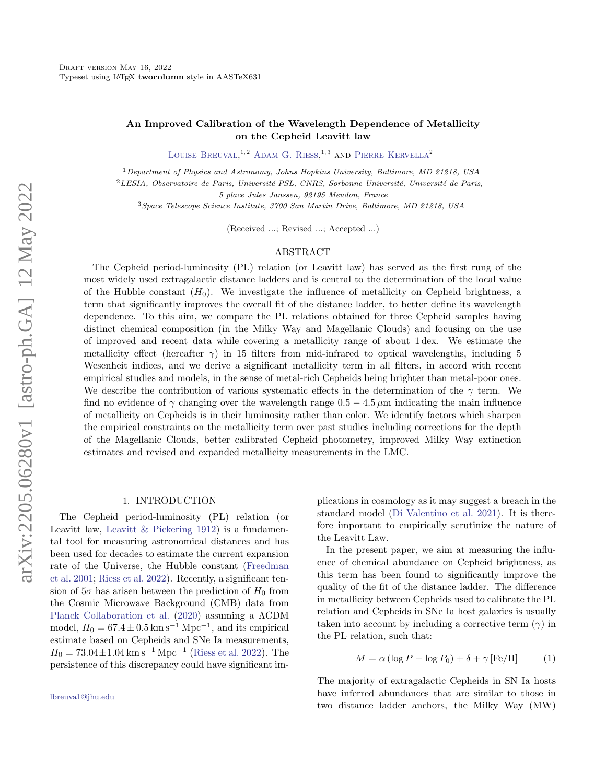# An Improved Calibration of the Wavelength Dependence of Metallicity on the Cepheid Leavitt law

LOUISE BREUVAL<sup>1,2</sup> ADAM G. RIESS.<sup>1,3</sup> AND PIERRE KERVELLA<sup>2</sup>

<sup>1</sup>Department of Physics and Astronomy, Johns Hopkins University, Baltimore, MD 21218, USA

 ${}^{2}$ LESIA, Observatoire de Paris, Université PSL, CNRS, Sorbonne Université, Université de Paris,

5 place Jules Janssen, 92195 Meudon, France

<sup>3</sup>Space Telescope Science Institute, 3700 San Martin Drive, Baltimore, MD 21218, USA

(Received ...; Revised ...; Accepted ...)

### ABSTRACT

The Cepheid period-luminosity (PL) relation (or Leavitt law) has served as the first rung of the most widely used extragalactic distance ladders and is central to the determination of the local value of the Hubble constant  $(H_0)$ . We investigate the influence of metallicity on Cepheid brightness, a term that significantly improves the overall fit of the distance ladder, to better define its wavelength dependence. To this aim, we compare the PL relations obtained for three Cepheid samples having distinct chemical composition (in the Milky Way and Magellanic Clouds) and focusing on the use of improved and recent data while covering a metallicity range of about 1 dex. We estimate the metallicity effect (hereafter  $\gamma$ ) in 15 filters from mid-infrared to optical wavelengths, including 5 Wesenheit indices, and we derive a significant metallicity term in all filters, in accord with recent empirical studies and models, in the sense of metal-rich Cepheids being brighter than metal-poor ones. We describe the contribution of various systematic effects in the determination of the  $\gamma$  term. We find no evidence of  $\gamma$  changing over the wavelength range  $0.5 - 4.5 \,\mu\text{m}$  indicating the main influence of metallicity on Cepheids is in their luminosity rather than color. We identify factors which sharpen the empirical constraints on the metallicity term over past studies including corrections for the depth of the Magellanic Clouds, better calibrated Cepheid photometry, improved Milky Way extinction estimates and revised and expanded metallicity measurements in the LMC.

### 1. INTRODUCTION

The Cepheid period-luminosity (PL) relation (or Leavitt law, [Leavitt & Pickering](#page-17-0) [1912\)](#page-17-0) is a fundamental tool for measuring astronomical distances and has been used for decades to estimate the current expansion rate of the Universe, the Hubble constant [\(Freedman](#page-17-1) [et al.](#page-17-1) [2001;](#page-17-1) [Riess et al.](#page-17-2) [2022\)](#page-17-2). Recently, a significant tension of  $5\sigma$  has arisen between the prediction of  $H_0$  from the Cosmic Microwave Background (CMB) data from [Planck Collaboration et al.](#page-17-3) [\(2020\)](#page-17-3) assuming a ΛCDM model,  $H_0 = 67.4 \pm 0.5 \,\mathrm{km \, s^{-1} \, Mpc^{-1}},$  and its empirical estimate based on Cepheids and SNe Ia measurements,  $H_0 = 73.04 \pm 1.04 \,\mathrm{km \, s^{-1} \, Mpc^{-1}}$  [\(Riess et al.](#page-17-2) [2022\)](#page-17-2). The persistence of this discrepancy could have significant implications in cosmology as it may suggest a breach in the standard model [\(Di Valentino et al.](#page-16-0) [2021\)](#page-16-0). It is therefore important to empirically scrutinize the nature of the Leavitt Law.

In the present paper, we aim at measuring the influence of chemical abundance on Cepheid brightness, as this term has been found to significantly improve the quality of the fit of the distance ladder. The difference in metallicity between Cepheids used to calibrate the PL relation and Cepheids in SNe Ia host galaxies is usually taken into account by including a corrective term  $(\gamma)$  in the PL relation, such that:

<span id="page-0-0"></span>
$$
M = \alpha (\log P - \log P_0) + \delta + \gamma [\text{Fe/H}] \tag{1}
$$

The majority of extragalactic Cepheids in SN Ia hosts have inferred abundances that are similar to those in two distance ladder anchors, the Milky Way (MW)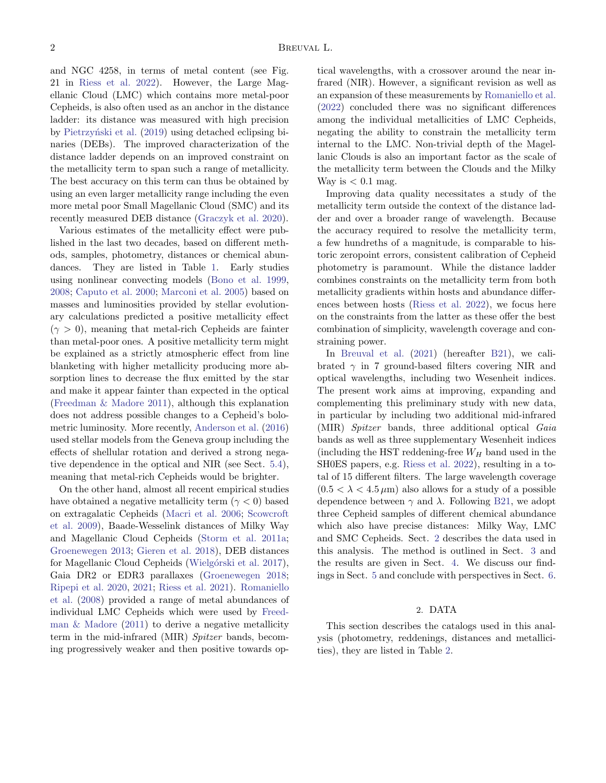and NGC 4258, in terms of metal content (see Fig. 21 in [Riess et al.](#page-17-2) [2022\)](#page-17-2). However, the Large Magellanic Cloud (LMC) which contains more metal-poor Cepheids, is also often used as an anchor in the distance ladder: its distance was measured with high precision by Pietrzyński et al. [\(2019\)](#page-17-4) using detached eclipsing binaries (DEBs). The improved characterization of the distance ladder depends on an improved constraint on the metallicity term to span such a range of metallicity. The best accuracy on this term can thus be obtained by using an even larger metallicity range including the even more metal poor Small Magellanic Cloud (SMC) and its recently measured DEB distance [\(Graczyk et al.](#page-17-5) [2020\)](#page-17-5).

Various estimates of the metallicity effect were published in the last two decades, based on different methods, samples, photometry, distances or chemical abundances. They are listed in Table [1.](#page-1-0) Early studies using nonlinear convecting models [\(Bono et al.](#page-16-1) [1999,](#page-16-1) [2008;](#page-16-2) [Caputo et al.](#page-16-3) [2000;](#page-16-3) [Marconi et al.](#page-17-6) [2005\)](#page-17-6) based on masses and luminosities provided by stellar evolutionary calculations predicted a positive metallicity effect  $(\gamma > 0)$ , meaning that metal-rich Cepheids are fainter than metal-poor ones. A positive metallicity term might be explained as a strictly atmospheric effect from line blanketing with higher metallicity producing more absorption lines to decrease the flux emitted by the star and make it appear fainter than expected in the optical [\(Freedman & Madore](#page-16-4) [2011\)](#page-16-4), although this explanation does not address possible changes to a Cepheid's bolometric luminosity. More recently, [Anderson et al.](#page-16-5) [\(2016\)](#page-16-5) used stellar models from the Geneva group including the effects of shellular rotation and derived a strong negative dependence in the optical and NIR (see Sect. [5.4\)](#page-11-0), meaning that metal-rich Cepheids would be brighter.

<span id="page-1-0"></span>On the other hand, almost all recent empirical studies have obtained a negative metallicity term  $(\gamma < 0)$  based on extragalatic Cepheids [\(Macri et al.](#page-17-7) [2006;](#page-17-7) [Scowcroft](#page-17-8) [et al.](#page-17-8) [2009\)](#page-17-8), Baade-Wesselink distances of Milky Way and Magellanic Cloud Cepheids [\(Storm et al.](#page-18-0) [2011a;](#page-18-0) [Groenewegen](#page-17-9) [2013;](#page-17-9) [Gieren et al.](#page-17-10) [2018\)](#page-17-10), DEB distances for Magellanic Cloud Cepheids (Wielgórski et al. [2017\)](#page-18-1), Gaia DR2 or EDR3 parallaxes [\(Groenewegen](#page-17-11) [2018;](#page-17-11) [Ripepi et al.](#page-17-12) [2020,](#page-17-12) [2021;](#page-17-13) [Riess et al.](#page-17-14) [2021\)](#page-17-14). [Romaniello](#page-17-15) [et al.](#page-17-15) [\(2008\)](#page-17-15) provided a range of metal abundances of individual LMC Cepheids which were used by [Freed](#page-16-4)man  $&$  Madore [\(2011\)](#page-16-4) to derive a negative metallicity term in the mid-infrared (MIR) Spitzer bands, becoming progressively weaker and then positive towards optical wavelengths, with a crossover around the near infrared (NIR). However, a significant revision as well as an expansion of these measurements by [Romaniello et al.](#page-17-16) [\(2022\)](#page-17-16) concluded there was no significant differences among the individual metallicities of LMC Cepheids, negating the ability to constrain the metallicity term internal to the LMC. Non-trivial depth of the Magellanic Clouds is also an important factor as the scale of the metallicity term between the Clouds and the Milky Way is  $< 0.1$  mag.

Improving data quality necessitates a study of the metallicity term outside the context of the distance ladder and over a broader range of wavelength. Because the accuracy required to resolve the metallicity term, a few hundreths of a magnitude, is comparable to historic zeropoint errors, consistent calibration of Cepheid photometry is paramount. While the distance ladder combines constraints on the metallicity term from both metallicity gradients within hosts and abundance differences between hosts [\(Riess et al.](#page-17-2) [2022\)](#page-17-2), we focus here on the constraints from the latter as these offer the best combination of simplicity, wavelength coverage and constraining power.

In [Breuval et al.](#page-16-6) [\(2021\)](#page-16-6) (hereafter [B21\)](#page-16-6), we calibrated  $\gamma$  in 7 ground-based filters covering NIR and optical wavelengths, including two Wesenheit indices. The present work aims at improving, expanding and complementing this preliminary study with new data, in particular by including two additional mid-infrared (MIR) Spitzer bands, three additional optical Gaia bands as well as three supplementary Wesenheit indices (including the HST reddening-free  $W_H$  band used in the SH0ES papers, e.g. [Riess et al.](#page-17-2) [2022\)](#page-17-2), resulting in a total of 15 different filters. The large wavelength coverage  $(0.5 < \lambda < 4.5 \,\mu\text{m})$  also allows for a study of a possible dependence between  $\gamma$  and  $\lambda$ . Following [B21,](#page-16-6) we adopt three Cepheid samples of different chemical abundance which also have precise distances: Milky Way, LMC and SMC Cepheids. Sect. [2](#page-1-1) describes the data used in this analysis. The method is outlined in Sect. [3](#page-6-0) and the results are given in Sect. [4.](#page-7-0) We discuss our findings in Sect. [5](#page-10-0) and conclude with perspectives in Sect. [6.](#page-15-0)

# 2. DATA

<span id="page-1-1"></span>This section describes the catalogs used in this analysis (photometry, reddenings, distances and metallicities), they are listed in Table [2.](#page-4-0)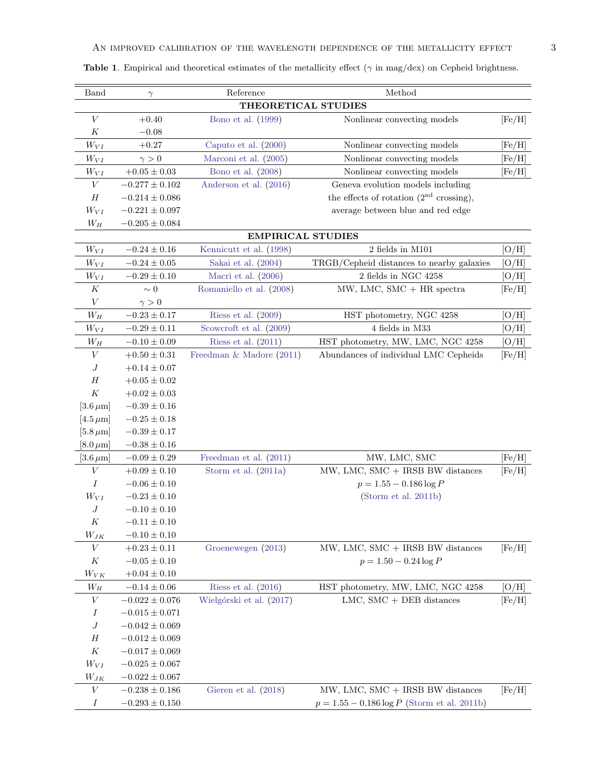| <b>Band</b>             | $\gamma$                           | Reference                | Method                                         |                |  |  |
|-------------------------|------------------------------------|--------------------------|------------------------------------------------|----------------|--|--|
|                         | THEORETICAL STUDIES                |                          |                                                |                |  |  |
| $\boldsymbol{V}$        | $+0.40$                            | Bono et al. (1999)       | Nonlinear convecting models                    | [Fe/H]         |  |  |
| K                       | $-0.08$                            |                          |                                                |                |  |  |
| $W_{VI}$                | $+0.27$                            | Caputo et al. (2000)     | Nonlinear convecting models                    | [Fe/H]         |  |  |
| $W_{VI}$                | $\gamma > 0$                       | Marconi et al. (2005)    | Nonlinear convecting models                    | [Fe/H]         |  |  |
| $W_{VI}$                | $+0.05 \pm 0.03$                   | Bono et al. $(2008)$     | Nonlinear convecting models                    | $[{\rm Fe/H}]$ |  |  |
| $\boldsymbol{V}$        | $-0.277 \pm 0.102$                 | Anderson et al. (2016)   | Geneva evolution models including              |                |  |  |
| $H_{\rm}$               | $-0.214 \pm 0.086$                 |                          | the effects of rotation $(2nd crossing)$ ,     |                |  |  |
| $W_{VI}$                | $-0.221 \pm 0.097$                 |                          | average between blue and red edge              |                |  |  |
| $W_H$                   | $-0.205 \pm 0.084$                 |                          |                                                |                |  |  |
|                         |                                    | <b>EMPIRICAL STUDIES</b> |                                                |                |  |  |
| $W_{VI}$                | $-0.24\pm0.16$                     | Kennicutt et al. (1998)  | 2 fields in M101                               | [O/H]          |  |  |
| $W_{VI}$                | $-0.24\pm0.05$                     | Sakai et al. (2004)      | TRGB/Cepheid distances to nearby galaxies      | [O/H]          |  |  |
| $W_{VI}$                | $-0.29\pm0.10$                     | Macri et al. (2006)      | 2 fields in NGC 4258                           | $\rm [O/H]$    |  |  |
| Κ                       | $\sim 0$                           | Romaniello et al. (2008) | $MW$ , LMC, SMC $+$ HR spectra                 | [Fe/H]         |  |  |
| $\boldsymbol{V}$        | $\gamma > 0$                       |                          |                                                |                |  |  |
| $W_H$                   | $-0.23 \pm 0.17$                   | Riess et al. $(2009)$    | HST photometry, NGC 4258                       | $\rm [O/H]$    |  |  |
| $W_{VI}$                | $-0.29 \pm 0.11$                   | Scowcroft et al. (2009)  | 4 fields in M33                                | $\rm [O/H]$    |  |  |
| $W_H$                   | $-0.10\pm0.09$                     | Riess et al. $(2011)$    | HST photometry, MW, LMC, NGC 4258              | [O/H]          |  |  |
| $\boldsymbol{V}$        | $+0.50 \pm 0.31$                   | Freedman & Madore (2011) | Abundances of individual LMC Cepheids          | [Fe/H]         |  |  |
| $\boldsymbol{J}$        | $+0.14\pm0.07$                     |                          |                                                |                |  |  |
| $H_{\rm}$               | $+0.05 \pm 0.02$                   |                          |                                                |                |  |  |
| $\cal K$                | $+0.02 \pm 0.03$                   |                          |                                                |                |  |  |
| $[3.6 \,\mu m]$         | $-0.39 \pm 0.16$                   |                          |                                                |                |  |  |
| $[4.5 \,\mu m]$         | $-0.25 \pm 0.18$                   |                          |                                                |                |  |  |
| $[5.8\,\mu\mathrm{m}]$  | $-0.39\pm0.17$                     |                          |                                                |                |  |  |
| $[8.0 \,\mu m]$         | $-0.38\pm0.16$                     |                          |                                                |                |  |  |
| $[3.6 \,\mu m]$         | $-0.09 \pm 0.29$                   | Freedman et al. (2011)   | MW, LMC, SMC                                   | [Fe/H]         |  |  |
| $\boldsymbol{V}$        | $+0.09 \pm 0.10$                   | Storm et al. $(2011a)$   | MW, LMC, SMC + IRSB BW distances               | [Fe/H]         |  |  |
| Ι                       | $-0.06 \pm 0.10$                   |                          | $p = 1.55 - 0.186 \log P$                      |                |  |  |
| $W_{VI}$                | $-0.23 \pm 0.10$                   |                          | (Storm et al. 2011b)                           |                |  |  |
| $\boldsymbol{J}$        | $-0.10 \pm 0.10$                   |                          |                                                |                |  |  |
| К                       | $-0.11 \pm 0.10$                   |                          |                                                |                |  |  |
| $\mathcal{W}_{JK}$<br>V | $-0.10 \pm 0.10$<br>$+0.23\pm0.11$ | Groenewegen (2013)       | $MW$ , LMC, SMC $+$ IRSB BW distances          |                |  |  |
| К                       | $-0.05\pm0.10$                     |                          | $p = 1.50 - 0.24 \log P$                       | [Fe/H]         |  |  |
| $W_{VK}$                | $+0.04 \pm 0.10$                   |                          |                                                |                |  |  |
| $W_H$                   | $-0.14 \pm 0.06$                   | Riess et al. $(2016)$    | HST photometry, MW, LMC, NGC 4258              | [O/H]          |  |  |
| $\boldsymbol{V}$        | $-0.022 \pm 0.076$                 | Wielgórski et al. (2017) | LMC, $SMC + DEB$ distances                     | [Fe/H]         |  |  |
| Ι                       | $-0.015 \pm 0.071$                 |                          |                                                |                |  |  |
| $\boldsymbol{J}$        | $-0.042 \pm 0.069$                 |                          |                                                |                |  |  |
| H                       | $-0.012 \pm 0.069$                 |                          |                                                |                |  |  |
| $\cal K$                | $-0.017 \pm 0.069$                 |                          |                                                |                |  |  |
| $W_{VI}$                | $-0.025 \pm 0.067$                 |                          |                                                |                |  |  |
| $W_{JK}$                | $-0.022 \pm 0.067$                 |                          |                                                |                |  |  |
| $\boldsymbol{V}$        | $-0.238\pm0.186$                   | Gieren et al. (2018)     | $MW, LMC, SMC + IRSB BW distances$             | [Fe/H]         |  |  |
| $\boldsymbol{I}$        | $-0.293 \pm 0.150$                 |                          | $p = 1.55 - 0.186 \log P$ (Storm et al. 2011b) |                |  |  |

Table 1. Empirical and theoretical estimates of the metallicity effect ( $\gamma$  in mag/dex) on Cepheid brightness.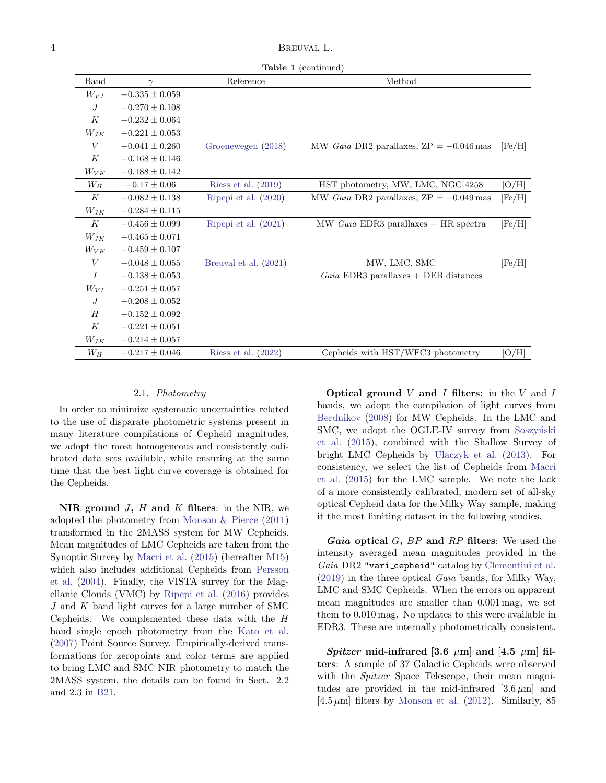Table [1](#page-1-0) (continued)

| Band             | $\gamma$           | Reference              | Method                                                   |        |
|------------------|--------------------|------------------------|----------------------------------------------------------|--------|
| $W_{VI}$         | $-0.335 \pm 0.059$ |                        |                                                          |        |
| J                | $-0.270 \pm 0.108$ |                        |                                                          |        |
| K                | $-0.232 \pm 0.064$ |                        |                                                          |        |
| $W_{JK}$         | $-0.221 \pm 0.053$ |                        |                                                          |        |
| $\boldsymbol{V}$ | $-0.041 \pm 0.260$ | Groenewegen (2018)     | MW Gaia DR2 parallaxes, $\text{ZP} = -0.046 \text{ mas}$ | [Fe/H] |
| K                | $-0.168 \pm 0.146$ |                        |                                                          |        |
| $W_{VK}$         | $-0.188 \pm 0.142$ |                        |                                                          |        |
| $W_H$            | $-0.17 \pm 0.06$   | Riess et al. $(2019)$  | HST photometry, MW, LMC, NGC 4258                        | [O/H]  |
| K                | $-0.082 \pm 0.138$ | Ripepi et al. (2020)   | MW <i>Gaia</i> DR2 parallaxes, $ZP = -0.049$ mas         | [Fe/H] |
| $W_{JK}$         | $-0.284 \pm 0.115$ |                        |                                                          |        |
| K                | $-0.456 \pm 0.099$ | Ripepi et al. $(2021)$ | MW $Gaia$ EDR3 parallaxes $+$ HR spectra                 | [Fe/H] |
| $W_{JK}$         | $-0.465 \pm 0.071$ |                        |                                                          |        |
| $W_{VK}$         | $-0.459 \pm 0.107$ |                        |                                                          |        |
| $\boldsymbol{V}$ | $-0.048 \pm 0.055$ | Breuval et al. (2021)  | MW, LMC, SMC                                             | [Fe/H] |
| $\overline{I}$   | $-0.138 \pm 0.053$ |                        | $Gaia$ EDR3 parallaxes + DEB distances                   |        |
| $W_{VI}$         | $-0.251 \pm 0.057$ |                        |                                                          |        |
| $\overline{J}$   | $-0.208 \pm 0.052$ |                        |                                                          |        |
| H                | $-0.152 \pm 0.092$ |                        |                                                          |        |
| K                | $-0.221 \pm 0.051$ |                        |                                                          |        |
| $W_{JK}$         | $-0.214 \pm 0.057$ |                        |                                                          |        |
| $W_H$            | $-0.217 \pm 0.046$ | Riess et al. $(2022)$  | Cepheids with HST/WFC3 photometry                        | [O/H]  |

#### 2.1. Photometry

<span id="page-3-0"></span>In order to minimize systematic uncertainties related to the use of disparate photometric systems present in many literature compilations of Cepheid magnitudes, we adopt the most homogeneous and consistently calibrated data sets available, while ensuring at the same time that the best light curve coverage is obtained for the Cepheids.

NIR ground  $J$ ,  $H$  and  $K$  filters: in the NIR, we adopted the photometry from [Monson & Pierce](#page-17-24) [\(2011\)](#page-17-24) transformed in the 2MASS system for MW Cepheids. Mean magnitudes of LMC Cepheids are taken from the Synoptic Survey by [Macri et al.](#page-17-25) [\(2015\)](#page-17-25) (hereafter [M15\)](#page-17-25) which also includes additional Cepheids from [Persson](#page-17-26) [et al.](#page-17-26) [\(2004\)](#page-17-26). Finally, the VISTA survey for the Magellanic Clouds (VMC) by [Ripepi et al.](#page-17-27) [\(2016\)](#page-17-27) provides J and K band light curves for a large number of SMC Cepheids. We complemented these data with the H band single epoch photometry from the [Kato et al.](#page-17-28) [\(2007\)](#page-17-28) Point Source Survey. Empirically-derived transformations for zeropoints and color terms are applied to bring LMC and SMC NIR photometry to match the 2MASS system, the details can be found in Sect. 2.2 and 2.3 in [B21.](#page-16-6)

Optical ground  $V$  and  $I$  filters: in the  $V$  and  $I$ bands, we adopt the compilation of light curves from [Berdnikov](#page-16-7) [\(2008\)](#page-16-7) for MW Cepheids. In the LMC and SMC, we adopt the OGLE-IV survey from Soszynski [et al.](#page-18-3) [\(2015\)](#page-18-3), combined with the Shallow Survey of bright LMC Cepheids by [Ulaczyk et al.](#page-18-4) [\(2013\)](#page-18-4). For consistency, we select the list of Cepheids from [Macri](#page-17-25) [et al.](#page-17-25) [\(2015\)](#page-17-25) for the LMC sample. We note the lack of a more consistently calibrated, modern set of all-sky optical Cepheid data for the Milky Way sample, making it the most limiting dataset in the following studies.

*Gaia* optical  $G$ ,  $BP$  and  $RP$  filters: We used the intensity averaged mean magnitudes provided in the Gaia DR2 "vari cepheid" catalog by [Clementini et al.](#page-16-8) [\(2019\)](#page-16-8) in the three optical Gaia bands, for Milky Way, LMC and SMC Cepheids. When the errors on apparent mean magnitudes are smaller than 0.001 mag, we set them to 0.010 mag. No updates to this were available in EDR3. These are internally photometrically consistent.

Spitzer mid-infrared [3.6  $\mu$ m] and [4.5  $\mu$ m] filters: A sample of 37 Galactic Cepheids were observed with the *Spitzer* Space Telescope, their mean magnitudes are provided in the mid-infrared  $[3.6 \,\mu m]$  and  $[4.5 \,\mu\text{m}]$  filters by [Monson et al.](#page-17-29) [\(2012\)](#page-17-29). Similarly, 85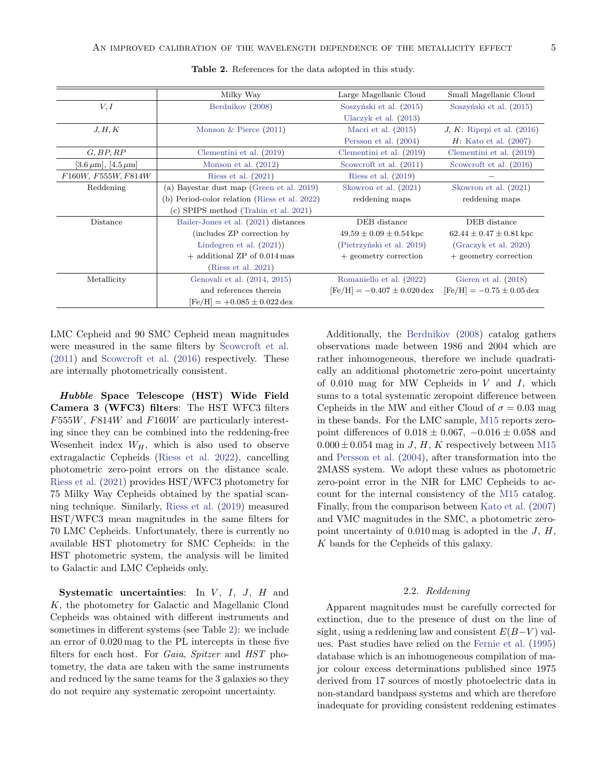|                                   | Milky Way                                        | Large Magellanic Cloud                   | Small Magellanic Cloud                 |
|-----------------------------------|--------------------------------------------------|------------------------------------------|----------------------------------------|
| V, I<br>Berdnikov (2008)          |                                                  | Soszyński et al. (2015)                  | Soszyński et al. (2015)                |
|                                   |                                                  | Ulaczyk et al. $(2013)$                  |                                        |
| J, H, K                           | Monson & Pierce $(2011)$                         | Macri et al. $(2015)$                    | $J, K$ : Ripepi et al. (2016)          |
|                                   |                                                  | Persson et al. $(2004)$                  | $H:$ Kato et al. $(2007)$              |
| G, BP, RP                         | Clementini et al. $(2019)$                       | Clementini et al. $(2019)$               | Clementini et al. (2019)               |
| $[3.6 \,\mu m]$ , $[4.5 \,\mu m]$ | Monson et al. $(2012)$                           | Scowcroft et al. (2011)                  | Scowcroft et al. (2016)                |
| F160W, F555W, F814W               | Riess et al. $(2021)$                            | Riess et al. $(2019)$                    |                                        |
| Reddening                         | (a) Bayestar dust map (Green et al. 2019)        | Skowron et al. (2021)                    | Skowron et al. (2021)                  |
|                                   | Period-color relation (Riess et al. 2022)<br>(b) | reddening maps                           | reddening maps                         |
|                                   | (c) SPIPS method (Trahin et al. 2021)            |                                          |                                        |
| Distance                          | Bailer-Jones et al. (2021) distances             | DEB distance                             | DEB distance                           |
|                                   | (includes ZP correction by)                      | $49.59 \pm 0.09 \pm 0.54$ kpc            | $62.44 \pm 0.47 \pm 0.81$ kpc          |
|                                   | Lindegren et al. $(2021)$                        | (Pietrzyński et al. 2019)                | $(Graczyk \text{ et al. } 2020)$       |
|                                   | $+$ additional ZP of 0.014 mas                   | + geometry correction                    | + geometry correction                  |
|                                   | (Riess et al. 2021)                              |                                          |                                        |
| Metallicity                       | Genovali et al. (2014, 2015)                     | Romaniello et al. (2022)                 | Gieren et al. $(2018)$                 |
|                                   | and references therein                           | $[Fe/H] = -0.407 \pm 0.020 \,\text{dex}$ | $[Fe/H] = -0.75 \pm 0.05 \,\text{dex}$ |
|                                   | $[Fe/H] = +0.085 \pm 0.022 \,\text{dex}$         |                                          |                                        |

<span id="page-4-0"></span>Table 2. References for the data adopted in this study.

LMC Cepheid and 90 SMC Cepheid mean magnitudes were measured in the same filters by [Scowcroft et al.](#page-17-30) [\(2011\)](#page-17-30) and [Scowcroft et al.](#page-17-31) [\(2016\)](#page-17-31) respectively. These are internally photometrically consistent.

Hubble Space Telescope (HST) Wide Field Camera 3 (WFC3) filters: The HST WFC3 filters  $F555W$ ,  $F814W$  and  $F160W$  are particularly interesting since they can be combined into the reddening-free Wesenheit index  $W_H$ , which is also used to observe extragalactic Cepheids [\(Riess et al.](#page-17-2) [2022\)](#page-17-2), cancelling photometric zero-point errors on the distance scale. [Riess et al.](#page-17-14) [\(2021\)](#page-17-14) provides HST/WFC3 photometry for 75 Milky Way Cepheids obtained by the spatial scanning technique. Similarly, [Riess et al.](#page-17-23) [\(2019\)](#page-17-23) measured HST/WFC3 mean magnitudes in the same filters for 70 LMC Cepheids. Unfortunately, there is currently no available HST photometry for SMC Cepheids: in the HST photometric system, the analysis will be limited to Galactic and LMC Cepheids only.

Systematic uncertainties: In  $V$ ,  $I$ ,  $J$ ,  $H$  and K, the photometry for Galactic and Magellanic Cloud Cepheids was obtained with different instruments and sometimes in different systems (see Table [2\)](#page-4-0): we include an error of 0.020 mag to the PL intercepts in these five filters for each host. For Gaia, Spitzer and HST photometry, the data are taken with the same instruments and reduced by the same teams for the 3 galaxies so they do not require any systematic zeropoint uncertainty.

Additionally, the [Berdnikov](#page-16-7) [\(2008\)](#page-16-7) catalog gathers observations made between 1986 and 2004 which are rather inhomogeneous, therefore we include quadratically an additional photometric zero-point uncertainty of  $0.010$  mag for MW Cepheids in V and I, which sums to a total systematic zeropoint difference between Cepheids in the MW and either Cloud of  $\sigma = 0.03$  mag in these bands. For the LMC sample, [M15](#page-17-25) reports zeropoint differences of  $0.018 \pm 0.067$ ,  $-0.016 \pm 0.058$  and  $0.000 \pm 0.054$  mag in J, H, K respectively between [M15](#page-17-25) and [Persson et al.](#page-17-26) [\(2004\)](#page-17-26), after transformation into the 2MASS system. We adopt these values as photometric zero-point error in the NIR for LMC Cepheids to account for the internal consistency of the [M15](#page-17-25) catalog. Finally, from the comparison between [Kato et al.](#page-17-28) [\(2007\)](#page-17-28) and VMC magnitudes in the SMC, a photometric zeropoint uncertainty of  $0.010$  mag is adopted in the J, H, K bands for the Cepheids of this galaxy.

### 2.2. Reddening

Apparent magnitudes must be carefully corrected for extinction, due to the presence of dust on the line of sight, using a reddening law and consistent  $E(B-V)$  values. Past studies have relied on the [Fernie et al.](#page-16-10) [\(1995\)](#page-16-10) database which is an inhomogeneous compilation of major colour excess determinations published since 1975 derived from 17 sources of mostly photoelectric data in non-standard bandpass systems and which are therefore inadequate for providing consistent reddening estimates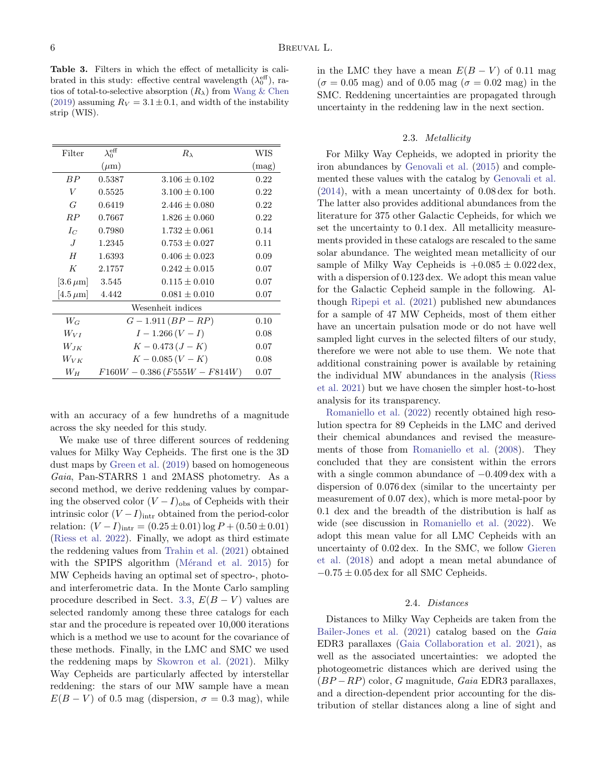<span id="page-5-0"></span>Table 3. Filters in which the effect of metallicity is calibrated in this study: effective central wavelength  $(\lambda_0^{\text{eff}})$ , ratios of total-to-selective absorption  $(R_{\lambda})$  from [Wang & Chen](#page-18-7) [\(2019\)](#page-18-7) assuming  $R_V = 3.1 \pm 0.1$ , and width of the instability strip (WIS).

| Filter          | $\lambda_0^{\text{eff}}$       | $R_{\lambda}$       | WIS   |
|-----------------|--------------------------------|---------------------|-------|
|                 | $(\mu m)$                      |                     | (mag) |
| BP              | 0.5387                         | $3.106 \pm 0.102$   | 0.22  |
| V               | 0.5525                         | $3.100 \pm 0.100$   | 0.22  |
| G               | 0.6419                         | $2.446 \pm 0.080$   | 0.22  |
| RP              | 0.7667                         | $1.826 + 0.060$     | 0.22  |
| $I_C$           | 0.7980                         | $1.732 + 0.061$     | 0.14  |
| $J_{\cdot}$     | 1.2345                         | $0.753 \pm 0.027$   | 0.11  |
| H               | 1.6393                         | $0.406 \pm 0.023$   | 0.09  |
| K               | 2.1757                         | $0.242 + 0.015$     | 0.07  |
| $[3.6 \,\mu m]$ | 3.545                          | $0.115 + 0.010$     | 0.07  |
| $[4.5 \,\mu m]$ | 4.442                          | $0.081 \pm 0.010$   | 0.07  |
|                 |                                | Wesenheit indices   |       |
| $W_G$           | $G-1.911(BP-RP)$               |                     | 0.10  |
| $W_{VI}$        |                                | $I-1.266(V-I)$      |       |
| $W_{JK}$        |                                | $K - 0.473 (J - K)$ |       |
| $W_{VK}$        |                                | $K - 0.085(V - K)$  |       |
| $W_H$           | $F160W - 0.386(F555W - F814W)$ |                     | 0.07  |

with an accuracy of a few hundreths of a magnitude across the sky needed for this study.

We make use of three different sources of reddening values for Milky Way Cepheids. The first one is the 3D dust maps by [Green et al.](#page-17-32) [\(2019\)](#page-17-32) based on homogeneous Gaia, Pan-STARRS 1 and 2MASS photometry. As a second method, we derive reddening values by comparing the observed color  $(V - I)_{obs}$  of Cepheids with their intrinsic color  $(V-I)_{\text{intr}}$  obtained from the period-color relation:  $(V - I)_{\text{intr}} = (0.25 \pm 0.01) \log P + (0.50 \pm 0.01)$ [\(Riess et al.](#page-17-2) [2022\)](#page-17-2). Finally, we adopt as third estimate the reddening values from [Trahin et al.](#page-18-6) [\(2021\)](#page-18-6) obtained with the SPIPS algorithm (Mérand et al. [2015\)](#page-17-36) for MW Cepheids having an optimal set of spectro-, photoand interferometric data. In the Monte Carlo sampling procedure described in Sect. [3.3,](#page-7-1)  $E(B-V)$  values are selected randomly among these three catalogs for each star and the procedure is repeated over 10,000 iterations which is a method we use to acount for the covariance of these methods. Finally, in the LMC and SMC we used the reddening maps by [Skowron et al.](#page-18-5) [\(2021\)](#page-18-5). Milky Way Cepheids are particularly affected by interstellar reddening: the stars of our MW sample have a mean  $E(B - V)$  of 0.5 mag (dispersion,  $\sigma = 0.3$  mag), while

in the LMC they have a mean  $E(B - V)$  of 0.11 mag  $(\sigma = 0.05$  mag) and of 0.05 mag ( $\sigma = 0.02$  mag) in the SMC. Reddening uncertainties are propagated through uncertainty in the reddening law in the next section.

### 2.3. Metallicity

For Milky Way Cepheids, we adopted in priority the iron abundances by [Genovali et al.](#page-17-35) [\(2015\)](#page-17-35) and complemented these values with the catalog by [Genovali et al.](#page-17-34) [\(2014\)](#page-17-34), with a mean uncertainty of 0.08 dex for both. The latter also provides additional abundances from the literature for 375 other Galactic Cepheids, for which we set the uncertainty to 0.1 dex. All metallicity measurements provided in these catalogs are rescaled to the same solar abundance. The weighted mean metallicity of our sample of Milky Way Cepheids is  $+0.085 \pm 0.022 \,\text{dex}$ , with a dispersion of 0.123 dex. We adopt this mean value for the Galactic Cepheid sample in the following. Although [Ripepi et al.](#page-17-13) [\(2021\)](#page-17-13) published new abundances for a sample of 47 MW Cepheids, most of them either have an uncertain pulsation mode or do not have well sampled light curves in the selected filters of our study, therefore we were not able to use them. We note that additional constraining power is available by retaining the individual MW abundances in the analysis [\(Riess](#page-17-14) [et al.](#page-17-14) [2021\)](#page-17-14) but we have chosen the simpler host-to-host analysis for its transparency.

[Romaniello et al.](#page-17-16) [\(2022\)](#page-17-16) recently obtained high resolution spectra for 89 Cepheids in the LMC and derived their chemical abundances and revised the measurements of those from [Romaniello et al.](#page-17-15) [\(2008\)](#page-17-15). They concluded that they are consistent within the errors with a single common abundance of −0.409 dex with a dispersion of 0.076 dex (similar to the uncertainty per measurement of 0.07 dex), which is more metal-poor by 0.1 dex and the breadth of the distribution is half as wide (see discussion in [Romaniello et al.](#page-17-16) [\(2022\)](#page-17-16). We adopt this mean value for all LMC Cepheids with an uncertainty of 0.02 dex. In the SMC, we follow [Gieren](#page-17-10) [et al.](#page-17-10) [\(2018\)](#page-17-10) and adopt a mean metal abundance of  $-0.75 \pm 0.05$  dex for all SMC Cepheids.

## 2.4. Distances

<span id="page-5-1"></span>Distances to Milky Way Cepheids are taken from the [Bailer-Jones et al.](#page-16-9) [\(2021\)](#page-16-9) catalog based on the Gaia EDR3 parallaxes [\(Gaia Collaboration et al.](#page-17-37) [2021\)](#page-17-37), as well as the associated uncertainties: we adopted the photogeometric distances which are derived using the  $(BP - RP)$  color, G magnitude, Gaia EDR3 parallaxes, and a direction-dependent prior accounting for the distribution of stellar distances along a line of sight and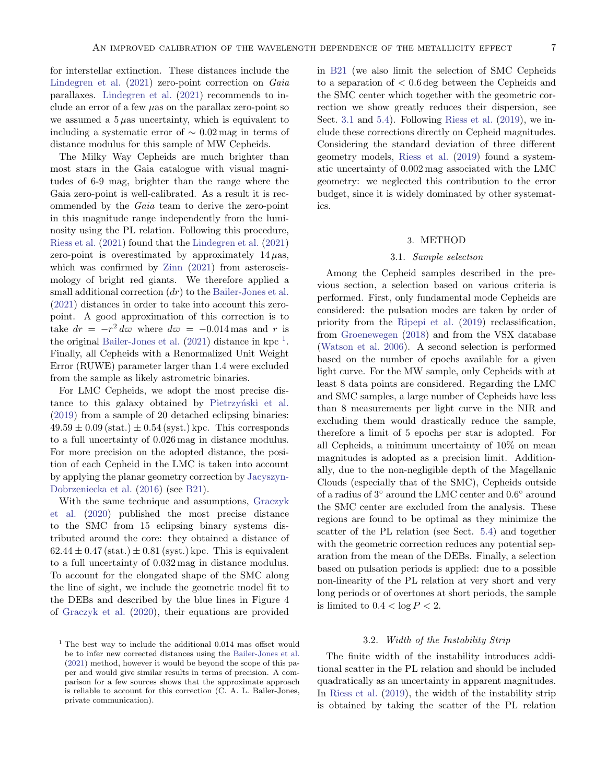for interstellar extinction. These distances include the [Lindegren et al.](#page-17-33) [\(2021\)](#page-17-33) zero-point correction on Gaia parallaxes. [Lindegren et al.](#page-17-33) [\(2021\)](#page-17-33) recommends to include an error of a few  $\mu$ as on the parallax zero-point so we assumed a  $5 \mu$ as uncertainty, which is equivalent to including a systematic error of  $\sim 0.02$  mag in terms of distance modulus for this sample of MW Cepheids.

The Milky Way Cepheids are much brighter than most stars in the Gaia catalogue with visual magnitudes of 6-9 mag, brighter than the range where the Gaia zero-point is well-calibrated. As a result it is recommended by the Gaia team to derive the zero-point in this magnitude range independently from the luminosity using the PL relation. Following this procedure, [Riess et al.](#page-17-14) [\(2021\)](#page-17-14) found that the [Lindegren et al.](#page-17-33) [\(2021\)](#page-17-33) zero-point is overestimated by approximately  $14 \mu$ as, which was confirmed by [Zinn](#page-18-8)  $(2021)$  from asteroseismology of bright red giants. We therefore applied a small additional correction  $(dr)$  to the [Bailer-Jones et al.](#page-16-9) [\(2021\)](#page-16-9) distances in order to take into account this zeropoint. A good approximation of this correction is to take  $dr = -r^2 d\varpi$  where  $d\varpi = -0.014$  mas and r is the original [Bailer-Jones et al.](#page-16-9)  $(2021)$  distance in kpc<sup>[1](#page-6-1)</sup>. Finally, all Cepheids with a Renormalized Unit Weight Error (RUWE) parameter larger than 1.4 were excluded from the sample as likely astrometric binaries.

For LMC Cepheids, we adopt the most precise distance to this galaxy obtained by Pietrzyński et al. [\(2019\)](#page-17-4) from a sample of 20 detached eclipsing binaries:  $49.59 \pm 0.09$  (stat.)  $\pm 0.54$  (syst.) kpc. This corresponds to a full uncertainty of 0.026 mag in distance modulus. For more precision on the adopted distance, the position of each Cepheid in the LMC is taken into account by applying the planar geometry correction by [Jacyszyn-](#page-17-38)[Dobrzeniecka et al.](#page-17-38) [\(2016\)](#page-17-38) (see [B21\)](#page-16-6).

With the same technique and assumptions, [Graczyk](#page-17-5) [et al.](#page-17-5) [\(2020\)](#page-17-5) published the most precise distance to the SMC from 15 eclipsing binary systems distributed around the core: they obtained a distance of  $62.44 \pm 0.47$  (stat.)  $\pm 0.81$  (syst.) kpc. This is equivalent to a full uncertainty of 0.032 mag in distance modulus. To account for the elongated shape of the SMC along the line of sight, we include the geometric model fit to the DEBs and described by the blue lines in Figure 4 of [Graczyk et al.](#page-17-5) [\(2020\)](#page-17-5), their equations are provided

in [B21](#page-16-6) (we also limit the selection of SMC Cepheids to a separation of < 0.6 deg between the Cepheids and the SMC center which together with the geometric correction we show greatly reduces their dispersion, see Sect. [3.1](#page-6-2) and [5.4\)](#page-11-0). Following [Riess et al.](#page-17-23) [\(2019\)](#page-17-23), we include these corrections directly on Cepheid magnitudes. Considering the standard deviation of three different geometry models, [Riess et al.](#page-17-23) [\(2019\)](#page-17-23) found a systematic uncertainty of 0.002 mag associated with the LMC geometry: we neglected this contribution to the error budget, since it is widely dominated by other systematics.

#### 3. METHOD

#### 3.1. Sample selection

<span id="page-6-2"></span><span id="page-6-0"></span>Among the Cepheid samples described in the previous section, a selection based on various criteria is performed. First, only fundamental mode Cepheids are considered: the pulsation modes are taken by order of priority from the [Ripepi et al.](#page-17-39) [\(2019\)](#page-17-39) reclassification, from [Groenewegen](#page-17-11) [\(2018\)](#page-17-11) and from the VSX database [\(Watson et al.](#page-18-9) [2006\)](#page-18-9). A second selection is performed based on the number of epochs available for a given light curve. For the MW sample, only Cepheids with at least 8 data points are considered. Regarding the LMC and SMC samples, a large number of Cepheids have less than 8 measurements per light curve in the NIR and excluding them would drastically reduce the sample, therefore a limit of 5 epochs per star is adopted. For all Cepheids, a minimum uncertainty of 10% on mean magnitudes is adopted as a precision limit. Additionally, due to the non-negligible depth of the Magellanic Clouds (especially that of the SMC), Cepheids outside of a radius of  $3^{\circ}$  around the LMC center and  $0.6^{\circ}$  around the SMC center are excluded from the analysis. These regions are found to be optimal as they minimize the scatter of the PL relation (see Sect. [5.4\)](#page-11-0) and together with the geometric correction reduces any potential separation from the mean of the DEBs. Finally, a selection based on pulsation periods is applied: due to a possible non-linearity of the PL relation at very short and very long periods or of overtones at short periods, the sample is limited to  $0.4 < \log P < 2$ .

## 3.2. Width of the Instability Strip

The finite width of the instability introduces additional scatter in the PL relation and should be included quadratically as an uncertainty in apparent magnitudes. In [Riess et al.](#page-17-23) [\(2019\)](#page-17-23), the width of the instability strip is obtained by taking the scatter of the PL relation

<span id="page-6-1"></span> $1$  The best way to include the additional 0.014 mas offset would be to infer new corrected distances using the [Bailer-Jones et al.](#page-16-9) [\(2021\)](#page-16-9) method, however it would be beyond the scope of this paper and would give similar results in terms of precision. A comparison for a few sources shows that the approximate approach is reliable to account for this correction (C. A. L. Bailer-Jones, private communication).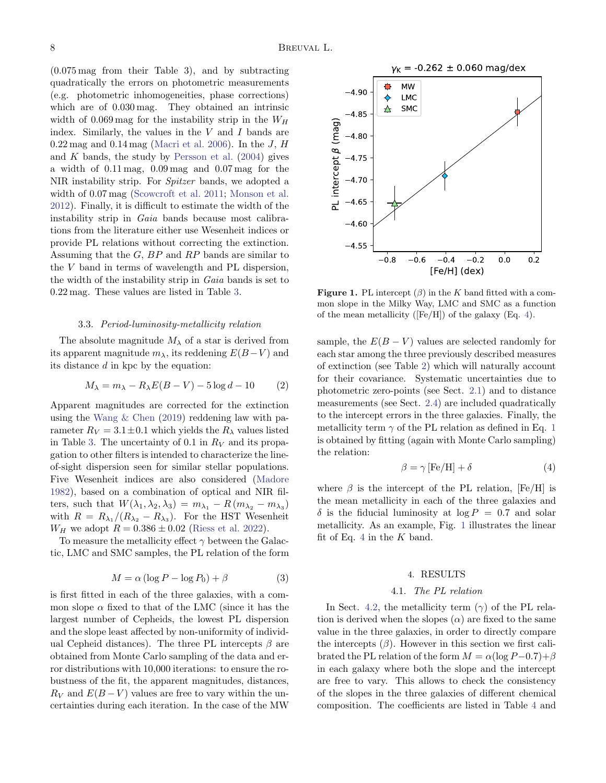(0.075 mag from their Table 3), and by subtracting quadratically the errors on photometric measurements (e.g. photometric inhomogeneities, phase corrections) which are of 0.030 mag. They obtained an intrinsic width of  $0.069 \,\mathrm{mag}$  for the instability strip in the  $W_H$ index. Similarly, the values in the  $V$  and  $I$  bands are  $0.22 \,\text{mag}$  and  $0.14 \,\text{mag}$  [\(Macri et al.](#page-17-7) [2006\)](#page-17-7). In the J, H and  $K$  bands, the study by [Persson et al.](#page-17-26)  $(2004)$  gives a width of 0.11 mag, 0.09 mag and 0.07 mag for the NIR instability strip. For Spitzer bands, we adopted a width of 0.07 mag [\(Scowcroft et al.](#page-17-30) [2011;](#page-17-30) [Monson et al.](#page-17-29) [2012\)](#page-17-29). Finally, it is difficult to estimate the width of the instability strip in Gaia bands because most calibrations from the literature either use Wesenheit indices or provide PL relations without correcting the extinction. Assuming that the  $G$ ,  $BP$  and  $RP$  bands are similar to the V band in terms of wavelength and PL dispersion, the width of the instability strip in Gaia bands is set to 0.22 mag. These values are listed in Table [3.](#page-5-0)

### 3.3. Period-luminosity-metallicity relation

<span id="page-7-1"></span>The absolute magnitude  $M_{\lambda}$  of a star is derived from its apparent magnitude  $m_\lambda$ , its reddening  $E(B-V)$  and its distance d in kpc by the equation:

$$
M_{\lambda} = m_{\lambda} - R_{\lambda}E(B - V) - 5\log d - 10 \qquad (2)
$$

Apparent magnitudes are corrected for the extinction using the [Wang & Chen](#page-18-7) [\(2019\)](#page-18-7) reddening law with parameter  $R_V = 3.1 \pm 0.1$  which yields the  $R_\lambda$  values listed in Table [3.](#page-5-0) The uncertainty of 0.1 in  $R_V$  and its propagation to other filters is intended to characterize the lineof-sight dispersion seen for similar stellar populations. Five Wesenheit indices are also considered [\(Madore](#page-17-40) [1982\)](#page-17-40), based on a combination of optical and NIR filters, such that  $W(\lambda_1, \lambda_2, \lambda_3) = m_{\lambda_1} - R(m_{\lambda_2} - m_{\lambda_3})$ with  $R = R_{\lambda_1}/(R_{\lambda_2} - R_{\lambda_3})$ . For the HST Wesenheit  $W_H$  we adopt  $R = 0.386 \pm 0.02$  [\(Riess et al.](#page-17-2) [2022\)](#page-17-2).

To measure the metallicity effect  $\gamma$  between the Galactic, LMC and SMC samples, the PL relation of the form

$$
M = \alpha (\log P - \log P_0) + \beta \tag{3}
$$

is first fitted in each of the three galaxies, with a common slope  $\alpha$  fixed to that of the LMC (since it has the largest number of Cepheids, the lowest PL dispersion and the slope least affected by non-uniformity of individual Cepheid distances). The three PL intercepts  $\beta$  are obtained from Monte Carlo sampling of the data and error distributions with 10,000 iterations: to ensure the robustness of the fit, the apparent magnitudes, distances,  $R_V$  and  $E(B-V)$  values are free to vary within the uncertainties during each iteration. In the case of the MW



<span id="page-7-3"></span>**Figure 1.** PL intercept  $(\beta)$  in the K band fitted with a common slope in the Milky Way, LMC and SMC as a function of the mean metallicity ( $[Fe/H]$ ) of the galaxy (Eq. [4\)](#page-7-2).

sample, the  $E(B - V)$  values are selected randomly for each star among the three previously described measures of extinction (see Table [2\)](#page-4-0) which will naturally account for their covariance. Systematic uncertainties due to photometric zero-points (see Sect. [2.1\)](#page-3-0) and to distance measurements (see Sect. [2.4\)](#page-5-1) are included quadratically to the intercept errors in the three galaxies. Finally, the metallicity term  $\gamma$  of the PL relation as defined in Eq. [1](#page-0-0) is obtained by fitting (again with Monte Carlo sampling) the relation:

<span id="page-7-2"></span>
$$
\beta = \gamma \left[ \text{Fe/H} \right] + \delta \tag{4}
$$

where  $\beta$  is the intercept of the PL relation, [Fe/H] is the mean metallicity in each of the three galaxies and  $\delta$  is the fiducial luminosity at  $\log P = 0.7$  and solar metallicity. As an example, Fig. [1](#page-7-3) illustrates the linear fit of Eq. [4](#page-7-2) in the  $K$  band.

#### 4. RESULTS

### 4.1. The PL relation

<span id="page-7-4"></span><span id="page-7-0"></span>In Sect. [4.2,](#page-9-0) the metallicity term  $(\gamma)$  of the PL relation is derived when the slopes  $(\alpha)$  are fixed to the same value in the three galaxies, in order to directly compare the intercepts  $(\beta)$ . However in this section we first calibrated the PL relation of the form  $M = \alpha(\log P - 0.7) + \beta$ in each galaxy where both the slope and the intercept are free to vary. This allows to check the consistency of the slopes in the three galaxies of different chemical composition. The coefficients are listed in Table [4](#page-8-0) and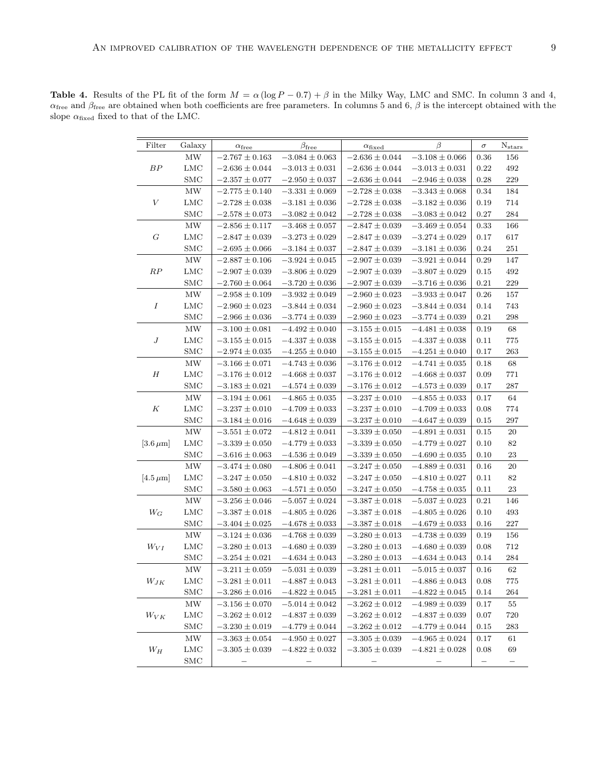| $-2.767 \pm 0.163$<br>$-3.084 \pm 0.063$<br>$-2.636 \pm 0.044$<br>$-3.108 \pm 0.066$<br>$156\,$<br>МW<br>0.36<br>${\cal BP}$<br>$492\,$<br>LMC<br>$-2.636 \pm 0.044$<br>$-3.013 \pm 0.031$<br>$-2.636 \pm 0.044$<br>$-3.013 \pm 0.031$<br>0.22<br>$229\,$<br><b>SMC</b><br>0.28<br>$-2.357 \pm 0.077$<br>$-2.950 \pm 0.037$<br>$-2.636 \pm 0.044$<br>$-2.946 \pm 0.038$<br>MW<br>$-2.775 \pm 0.140$<br>$-3.331 \pm 0.069$<br>$-2.728 \pm 0.038$<br>$-3.343 \pm 0.068$<br>184<br>0.34<br>$\boldsymbol{V}$<br>714<br>LMC<br>$-2.728 \pm 0.038$<br>$-3.181 \pm 0.036$<br>$-2.728 \pm 0.038$<br>$-3.182 \pm 0.036$<br>0.19<br><b>SMC</b><br>$-2.578 \pm 0.073$<br>$-3.082 \pm 0.042$<br>$-2.728 \pm 0.038$<br>$-3.083 \pm 0.042$<br>0.27<br>284<br>MW<br>166<br>$-2.856 \pm 0.117$<br>$-3.468 \pm 0.057$<br>$-2.847 \pm 0.039$<br>$-3.469 \pm 0.054$<br>0.33<br>$\cal G$<br>617<br>LMC<br>$-2.847 \pm 0.039$<br>$-3.273 \pm 0.029$<br>$-2.847 \pm 0.039$<br>$-3.274\pm0.029$<br>0.17<br>$251\,$<br><b>SMC</b><br>$-2.695 \pm 0.066$<br>$-3.184 \pm 0.037$<br>$-2.847 \pm 0.039$<br>$-3.181 \pm 0.036$<br>0.24<br>MW<br>$-2.887 \pm 0.106$<br>$-3.924 \pm 0.045$<br>$-2.907 \pm 0.039$<br>$-3.921 \pm 0.044$<br>0.29<br>147<br>RP<br>$492\,$<br>LMC<br>$-2.907 \pm 0.039$<br>$-3.806 \pm 0.029$<br>$-2.907 \pm 0.039$<br>$-3.807 \pm 0.029$<br>0.15<br>$229\,$<br><b>SMC</b><br>$-2.907 \pm 0.039$<br>0.21<br>$-2.760 \pm 0.064$<br>$-3.720 \pm 0.036$<br>$-3.716 \pm 0.036$<br>$157\,$<br>MW<br>$-2.958 \pm 0.109$<br>$-3.932 \pm 0.049$<br>$-2.960 \pm 0.023$<br>$-3.933 \pm 0.047$<br>0.26<br>$\cal I$<br>743<br>LMC<br>$-2.960 \pm 0.023$<br>$-2.960 \pm 0.023$<br>$-3.844 \pm 0.034$<br>0.14<br>$-3.844 \pm 0.034$<br>$\,298$<br>$_{\rm SMC}$<br>$-2.966 \pm 0.036$<br>$-2.960 \pm 0.023$<br>0.21<br>$-3.774 \pm 0.039$<br>$-3.774 \pm 0.039$<br>MW<br>$-3.100 \pm 0.081$<br>$-4.492 \pm 0.040$<br>$-3.155 \pm 0.015$<br>$-4.481 \pm 0.038$<br>68<br>0.19<br>$\boldsymbol{J}$<br>$775\,$<br>LMC<br>$-3.155 \pm 0.015$<br>$-4.337 \pm 0.038$<br>$-3.155 \pm 0.015$<br>$-4.337 \pm 0.038$<br>0.11<br>$263\,$<br><b>SMC</b><br>$-2.974 \pm 0.035$<br>$-4.255 \pm 0.040$<br>$-3.155 \pm 0.015$<br>0.17<br>$-4.251 \pm 0.040$<br>$\ensuremath{\text{MW}}\xspace$<br>$-3.176 \pm 0.012$<br>68<br>$-3.166 \pm 0.071$<br>$-4.743 \pm 0.036$<br>$-4.741\pm0.035$<br>0.18<br>$\boldsymbol{H}$<br>$-3.176 \pm 0.012$<br>$771\,$<br>LMC<br>$-3.176 \pm 0.012$<br>$-4.668 \pm 0.037$<br>$-4.668 \pm 0.037$<br>0.09<br>$287\,$<br><b>SMC</b><br>$-3.183 \pm 0.021$<br>$-4.574\pm0.039$<br>$-3.176 \pm 0.012$<br>0.17<br>$-4.573 \pm 0.039$<br>$64\,$<br>MW<br>$-3.194 \pm 0.061$<br>$-4.865 \pm 0.035$<br>$-3.237 \pm 0.010$<br>$-4.855 \pm 0.033$<br>0.17<br>$\cal K$<br>LMC<br>774<br>$-3.237 \pm 0.010$<br>$-4.709 \pm 0.033$<br>$-3.237 \pm 0.010$<br>$-4.709 \pm 0.033$<br>0.08<br><b>SMC</b><br>$-3.184 \pm 0.016$<br>$-4.648 \pm 0.039$<br>$-4.647 \pm 0.039$<br>0.15<br>$\,297$<br>$-3.237 \pm 0.010$<br>MW<br>$-3.551 \pm 0.072$<br>$-4.812 \pm 0.041$<br>$-3.339 \pm 0.050$<br>$-4.891 \pm 0.031$<br>0.15<br>20<br>82<br>$[3.6 \,\mu m]$<br>LMC<br>$-3.339 \pm 0.050$<br>0.10<br>$-3.339 \pm 0.050$<br>$-4.779 \pm 0.033$<br>$-4.779 \pm 0.027$<br>$\bf 23$<br><b>SMC</b><br>$-3.616 \pm 0.063$<br>$-4.536 \pm 0.049$<br>$-3.339 \pm 0.050$<br>$-4.690 \pm 0.035$<br>0.10<br>MW<br>20<br>$-3.474 \pm 0.080$<br>$-4.806 \pm 0.041$<br>$-3.247 \pm 0.050$<br>$-4.889 \pm 0.031$<br>0.16<br>82<br>LMC<br>$-3.247 \pm 0.050$<br>$-4.810 \pm 0.032$<br>$-3.247 \pm 0.050$<br>$-4.810 \pm 0.027$<br>0.11<br>$[4.5 \,\mu m]$<br>23<br>SMC<br>$-3.580 \pm 0.063$<br>$-4.758 \pm 0.035$<br>$-4.571 \pm 0.050$<br>$-3.247 \pm 0.050$<br>0.11<br>146<br>MW<br>$-3.256 \pm 0.046$<br>$-5.057 \pm 0.024$<br>$-3.387 \pm 0.018$<br>$-5.037 \pm 0.023$<br>0.21<br>$W_G$<br>LMC<br>$-3.387 \pm 0.018$<br>$-4.805 \pm 0.026$<br>$-3.387 \pm 0.018$<br>$-4.805 \pm 0.026$<br>0.10<br>493<br>$227\,$<br><b>SMC</b><br>$-3.404 \pm 0.025$<br>$-4.679 \pm 0.033$<br>$-4.678 \pm 0.033$<br>$-3.387 \pm 0.018$<br>0.16<br>$156\,$<br>MW<br>$-3.124 \pm 0.036$<br>$-4.768 \pm 0.039$<br>$-3.280 \pm 0.013$<br>$-4.738 \pm 0.039$<br>0.19<br>$712\,$<br>$W_{VI}$<br>LMC<br>$-3.280 \pm 0.013$<br>$-4.680 \pm 0.039$<br>$-3.280 \pm 0.013$<br>$-4.680 \pm 0.039$<br>0.08<br><b>SMC</b><br>0.14<br>284<br>$-3.254 \pm 0.021$<br>$-4.634 \pm 0.043$<br>$-3.280 \pm 0.013$<br>$-4.634 \pm 0.043$<br>62<br>MW<br>$-3.281 \pm 0.011$<br>0.16<br>$-3.211 \pm 0.059$<br>$-5.031 \pm 0.039$<br>$-5.015 \pm 0.037$<br>$W_{JK}$<br><b>LMC</b><br>$-3.281 \pm 0.011$<br>$-4.887 \pm 0.043$<br>$-3.281 \pm 0.011$<br>$-4.886 \pm 0.043$<br>0.08<br>775<br><b>SMC</b><br>$-3.286 \pm 0.016$<br>$-4.822 \pm 0.045$<br>$-3.281 \pm 0.011$<br>$-4.822 \pm 0.045$<br>0.14<br>264<br>MW<br>$-3.156 \pm 0.070$<br>$-5.014 \pm 0.042$<br>$-3.262 \pm 0.012$<br>$-4.989 \pm 0.039$<br>0.17<br>55<br><b>LMC</b><br>720<br>$W_{VK}$<br>$-3.262 \pm 0.012$<br>$-4.837 \pm 0.039$<br>$-3.262 \pm 0.012$<br>$-4.837 \pm 0.039$<br>0.07<br>$\rm SMC$<br>$-3.230 \pm 0.019$<br>$-4.779 \pm 0.044$<br>$-3.262 \pm 0.012$<br>$-4.779 \pm 0.044$<br>0.15<br>283<br>MW<br>$-3.363 \pm 0.054$<br>$-4.950 \pm 0.027$<br>$-3.305 \pm 0.039$<br>$-4.965 \pm 0.024$<br>0.17<br>61<br><b>LMC</b><br>$-3.305 \pm 0.039$<br>$W_H$<br>$-3.305 \pm 0.039$<br>$-4.822 \pm 0.032$<br>$-4.821 \pm 0.028$<br>0.08<br>69<br><b>SMC</b> | Filter | Galaxy | $\alpha_{\rm free}$ | $\beta_{\text{free}}$ | $\alpha_{\text{fixed}}$ | β | $\sigma$ | $N_{stars}$ |
|-----------------------------------------------------------------------------------------------------------------------------------------------------------------------------------------------------------------------------------------------------------------------------------------------------------------------------------------------------------------------------------------------------------------------------------------------------------------------------------------------------------------------------------------------------------------------------------------------------------------------------------------------------------------------------------------------------------------------------------------------------------------------------------------------------------------------------------------------------------------------------------------------------------------------------------------------------------------------------------------------------------------------------------------------------------------------------------------------------------------------------------------------------------------------------------------------------------------------------------------------------------------------------------------------------------------------------------------------------------------------------------------------------------------------------------------------------------------------------------------------------------------------------------------------------------------------------------------------------------------------------------------------------------------------------------------------------------------------------------------------------------------------------------------------------------------------------------------------------------------------------------------------------------------------------------------------------------------------------------------------------------------------------------------------------------------------------------------------------------------------------------------------------------------------------------------------------------------------------------------------------------------------------------------------------------------------------------------------------------------------------------------------------------------------------------------------------------------------------------------------------------------------------------------------------------------------------------------------------------------------------------------------------------------------------------------------------------------------------------------------------------------------------------------------------------------------------------------------------------------------------------------------------------------------------------------------------------------------------------------------------------------------------------------------------------------------------------------------------------------------------------------------------------------------------------------------------------------------------------------------------------------------------------------------------------------------------------------------------------------------------------------------------------------------------------------------------------------------------------------------------------------------------------------------------------------------------------------------------------------------------------------------------------------------------------------------------------------------------------------------------------------------------------------------------------------------------------------------------------------------------------------------------------------------------------------------------------------------------------------------------------------------------------------------------------------------------------------------------------------------------------------------------------------------------------------------------------------------------------------------------------------------------------------------------------------------------------------------------------------------------------------------------------------------------------------------------------------------------------------------------------------------------------------------------------------------------------------------------------------------------------------------------------------------------------------------------------------------------------------------------------------------------------------------------------------------------------------------------------------------------------------------------------------------------------------------------------------------------------------------------------------------------------------------------------------------------------------------------------------------------------------------------------------------------------------------------------------------------------------------------------------------------------------------------------------------------------------------------------------------------------------------------------------------------------------------------------|--------|--------|---------------------|-----------------------|-------------------------|---|----------|-------------|
|                                                                                                                                                                                                                                                                                                                                                                                                                                                                                                                                                                                                                                                                                                                                                                                                                                                                                                                                                                                                                                                                                                                                                                                                                                                                                                                                                                                                                                                                                                                                                                                                                                                                                                                                                                                                                                                                                                                                                                                                                                                                                                                                                                                                                                                                                                                                                                                                                                                                                                                                                                                                                                                                                                                                                                                                                                                                                                                                                                                                                                                                                                                                                                                                                                                                                                                                                                                                                                                                                                                                                                                                                                                                                                                                                                                                                                                                                                                                                                                                                                                                                                                                                                                                                                                                                                                                                                                                                                                                                                                                                                                                                                                                                                                                                                                                                                                                                                                                                                                                                                                                                                                                                                                                                                                                                                                                                                                                                                                           |        |        |                     |                       |                         |   |          |             |
|                                                                                                                                                                                                                                                                                                                                                                                                                                                                                                                                                                                                                                                                                                                                                                                                                                                                                                                                                                                                                                                                                                                                                                                                                                                                                                                                                                                                                                                                                                                                                                                                                                                                                                                                                                                                                                                                                                                                                                                                                                                                                                                                                                                                                                                                                                                                                                                                                                                                                                                                                                                                                                                                                                                                                                                                                                                                                                                                                                                                                                                                                                                                                                                                                                                                                                                                                                                                                                                                                                                                                                                                                                                                                                                                                                                                                                                                                                                                                                                                                                                                                                                                                                                                                                                                                                                                                                                                                                                                                                                                                                                                                                                                                                                                                                                                                                                                                                                                                                                                                                                                                                                                                                                                                                                                                                                                                                                                                                                           |        |        |                     |                       |                         |   |          |             |
|                                                                                                                                                                                                                                                                                                                                                                                                                                                                                                                                                                                                                                                                                                                                                                                                                                                                                                                                                                                                                                                                                                                                                                                                                                                                                                                                                                                                                                                                                                                                                                                                                                                                                                                                                                                                                                                                                                                                                                                                                                                                                                                                                                                                                                                                                                                                                                                                                                                                                                                                                                                                                                                                                                                                                                                                                                                                                                                                                                                                                                                                                                                                                                                                                                                                                                                                                                                                                                                                                                                                                                                                                                                                                                                                                                                                                                                                                                                                                                                                                                                                                                                                                                                                                                                                                                                                                                                                                                                                                                                                                                                                                                                                                                                                                                                                                                                                                                                                                                                                                                                                                                                                                                                                                                                                                                                                                                                                                                                           |        |        |                     |                       |                         |   |          |             |
|                                                                                                                                                                                                                                                                                                                                                                                                                                                                                                                                                                                                                                                                                                                                                                                                                                                                                                                                                                                                                                                                                                                                                                                                                                                                                                                                                                                                                                                                                                                                                                                                                                                                                                                                                                                                                                                                                                                                                                                                                                                                                                                                                                                                                                                                                                                                                                                                                                                                                                                                                                                                                                                                                                                                                                                                                                                                                                                                                                                                                                                                                                                                                                                                                                                                                                                                                                                                                                                                                                                                                                                                                                                                                                                                                                                                                                                                                                                                                                                                                                                                                                                                                                                                                                                                                                                                                                                                                                                                                                                                                                                                                                                                                                                                                                                                                                                                                                                                                                                                                                                                                                                                                                                                                                                                                                                                                                                                                                                           |        |        |                     |                       |                         |   |          |             |
|                                                                                                                                                                                                                                                                                                                                                                                                                                                                                                                                                                                                                                                                                                                                                                                                                                                                                                                                                                                                                                                                                                                                                                                                                                                                                                                                                                                                                                                                                                                                                                                                                                                                                                                                                                                                                                                                                                                                                                                                                                                                                                                                                                                                                                                                                                                                                                                                                                                                                                                                                                                                                                                                                                                                                                                                                                                                                                                                                                                                                                                                                                                                                                                                                                                                                                                                                                                                                                                                                                                                                                                                                                                                                                                                                                                                                                                                                                                                                                                                                                                                                                                                                                                                                                                                                                                                                                                                                                                                                                                                                                                                                                                                                                                                                                                                                                                                                                                                                                                                                                                                                                                                                                                                                                                                                                                                                                                                                                                           |        |        |                     |                       |                         |   |          |             |
|                                                                                                                                                                                                                                                                                                                                                                                                                                                                                                                                                                                                                                                                                                                                                                                                                                                                                                                                                                                                                                                                                                                                                                                                                                                                                                                                                                                                                                                                                                                                                                                                                                                                                                                                                                                                                                                                                                                                                                                                                                                                                                                                                                                                                                                                                                                                                                                                                                                                                                                                                                                                                                                                                                                                                                                                                                                                                                                                                                                                                                                                                                                                                                                                                                                                                                                                                                                                                                                                                                                                                                                                                                                                                                                                                                                                                                                                                                                                                                                                                                                                                                                                                                                                                                                                                                                                                                                                                                                                                                                                                                                                                                                                                                                                                                                                                                                                                                                                                                                                                                                                                                                                                                                                                                                                                                                                                                                                                                                           |        |        |                     |                       |                         |   |          |             |
|                                                                                                                                                                                                                                                                                                                                                                                                                                                                                                                                                                                                                                                                                                                                                                                                                                                                                                                                                                                                                                                                                                                                                                                                                                                                                                                                                                                                                                                                                                                                                                                                                                                                                                                                                                                                                                                                                                                                                                                                                                                                                                                                                                                                                                                                                                                                                                                                                                                                                                                                                                                                                                                                                                                                                                                                                                                                                                                                                                                                                                                                                                                                                                                                                                                                                                                                                                                                                                                                                                                                                                                                                                                                                                                                                                                                                                                                                                                                                                                                                                                                                                                                                                                                                                                                                                                                                                                                                                                                                                                                                                                                                                                                                                                                                                                                                                                                                                                                                                                                                                                                                                                                                                                                                                                                                                                                                                                                                                                           |        |        |                     |                       |                         |   |          |             |
|                                                                                                                                                                                                                                                                                                                                                                                                                                                                                                                                                                                                                                                                                                                                                                                                                                                                                                                                                                                                                                                                                                                                                                                                                                                                                                                                                                                                                                                                                                                                                                                                                                                                                                                                                                                                                                                                                                                                                                                                                                                                                                                                                                                                                                                                                                                                                                                                                                                                                                                                                                                                                                                                                                                                                                                                                                                                                                                                                                                                                                                                                                                                                                                                                                                                                                                                                                                                                                                                                                                                                                                                                                                                                                                                                                                                                                                                                                                                                                                                                                                                                                                                                                                                                                                                                                                                                                                                                                                                                                                                                                                                                                                                                                                                                                                                                                                                                                                                                                                                                                                                                                                                                                                                                                                                                                                                                                                                                                                           |        |        |                     |                       |                         |   |          |             |
|                                                                                                                                                                                                                                                                                                                                                                                                                                                                                                                                                                                                                                                                                                                                                                                                                                                                                                                                                                                                                                                                                                                                                                                                                                                                                                                                                                                                                                                                                                                                                                                                                                                                                                                                                                                                                                                                                                                                                                                                                                                                                                                                                                                                                                                                                                                                                                                                                                                                                                                                                                                                                                                                                                                                                                                                                                                                                                                                                                                                                                                                                                                                                                                                                                                                                                                                                                                                                                                                                                                                                                                                                                                                                                                                                                                                                                                                                                                                                                                                                                                                                                                                                                                                                                                                                                                                                                                                                                                                                                                                                                                                                                                                                                                                                                                                                                                                                                                                                                                                                                                                                                                                                                                                                                                                                                                                                                                                                                                           |        |        |                     |                       |                         |   |          |             |
|                                                                                                                                                                                                                                                                                                                                                                                                                                                                                                                                                                                                                                                                                                                                                                                                                                                                                                                                                                                                                                                                                                                                                                                                                                                                                                                                                                                                                                                                                                                                                                                                                                                                                                                                                                                                                                                                                                                                                                                                                                                                                                                                                                                                                                                                                                                                                                                                                                                                                                                                                                                                                                                                                                                                                                                                                                                                                                                                                                                                                                                                                                                                                                                                                                                                                                                                                                                                                                                                                                                                                                                                                                                                                                                                                                                                                                                                                                                                                                                                                                                                                                                                                                                                                                                                                                                                                                                                                                                                                                                                                                                                                                                                                                                                                                                                                                                                                                                                                                                                                                                                                                                                                                                                                                                                                                                                                                                                                                                           |        |        |                     |                       |                         |   |          |             |
|                                                                                                                                                                                                                                                                                                                                                                                                                                                                                                                                                                                                                                                                                                                                                                                                                                                                                                                                                                                                                                                                                                                                                                                                                                                                                                                                                                                                                                                                                                                                                                                                                                                                                                                                                                                                                                                                                                                                                                                                                                                                                                                                                                                                                                                                                                                                                                                                                                                                                                                                                                                                                                                                                                                                                                                                                                                                                                                                                                                                                                                                                                                                                                                                                                                                                                                                                                                                                                                                                                                                                                                                                                                                                                                                                                                                                                                                                                                                                                                                                                                                                                                                                                                                                                                                                                                                                                                                                                                                                                                                                                                                                                                                                                                                                                                                                                                                                                                                                                                                                                                                                                                                                                                                                                                                                                                                                                                                                                                           |        |        |                     |                       |                         |   |          |             |
|                                                                                                                                                                                                                                                                                                                                                                                                                                                                                                                                                                                                                                                                                                                                                                                                                                                                                                                                                                                                                                                                                                                                                                                                                                                                                                                                                                                                                                                                                                                                                                                                                                                                                                                                                                                                                                                                                                                                                                                                                                                                                                                                                                                                                                                                                                                                                                                                                                                                                                                                                                                                                                                                                                                                                                                                                                                                                                                                                                                                                                                                                                                                                                                                                                                                                                                                                                                                                                                                                                                                                                                                                                                                                                                                                                                                                                                                                                                                                                                                                                                                                                                                                                                                                                                                                                                                                                                                                                                                                                                                                                                                                                                                                                                                                                                                                                                                                                                                                                                                                                                                                                                                                                                                                                                                                                                                                                                                                                                           |        |        |                     |                       |                         |   |          |             |
|                                                                                                                                                                                                                                                                                                                                                                                                                                                                                                                                                                                                                                                                                                                                                                                                                                                                                                                                                                                                                                                                                                                                                                                                                                                                                                                                                                                                                                                                                                                                                                                                                                                                                                                                                                                                                                                                                                                                                                                                                                                                                                                                                                                                                                                                                                                                                                                                                                                                                                                                                                                                                                                                                                                                                                                                                                                                                                                                                                                                                                                                                                                                                                                                                                                                                                                                                                                                                                                                                                                                                                                                                                                                                                                                                                                                                                                                                                                                                                                                                                                                                                                                                                                                                                                                                                                                                                                                                                                                                                                                                                                                                                                                                                                                                                                                                                                                                                                                                                                                                                                                                                                                                                                                                                                                                                                                                                                                                                                           |        |        |                     |                       |                         |   |          |             |
|                                                                                                                                                                                                                                                                                                                                                                                                                                                                                                                                                                                                                                                                                                                                                                                                                                                                                                                                                                                                                                                                                                                                                                                                                                                                                                                                                                                                                                                                                                                                                                                                                                                                                                                                                                                                                                                                                                                                                                                                                                                                                                                                                                                                                                                                                                                                                                                                                                                                                                                                                                                                                                                                                                                                                                                                                                                                                                                                                                                                                                                                                                                                                                                                                                                                                                                                                                                                                                                                                                                                                                                                                                                                                                                                                                                                                                                                                                                                                                                                                                                                                                                                                                                                                                                                                                                                                                                                                                                                                                                                                                                                                                                                                                                                                                                                                                                                                                                                                                                                                                                                                                                                                                                                                                                                                                                                                                                                                                                           |        |        |                     |                       |                         |   |          |             |
|                                                                                                                                                                                                                                                                                                                                                                                                                                                                                                                                                                                                                                                                                                                                                                                                                                                                                                                                                                                                                                                                                                                                                                                                                                                                                                                                                                                                                                                                                                                                                                                                                                                                                                                                                                                                                                                                                                                                                                                                                                                                                                                                                                                                                                                                                                                                                                                                                                                                                                                                                                                                                                                                                                                                                                                                                                                                                                                                                                                                                                                                                                                                                                                                                                                                                                                                                                                                                                                                                                                                                                                                                                                                                                                                                                                                                                                                                                                                                                                                                                                                                                                                                                                                                                                                                                                                                                                                                                                                                                                                                                                                                                                                                                                                                                                                                                                                                                                                                                                                                                                                                                                                                                                                                                                                                                                                                                                                                                                           |        |        |                     |                       |                         |   |          |             |
|                                                                                                                                                                                                                                                                                                                                                                                                                                                                                                                                                                                                                                                                                                                                                                                                                                                                                                                                                                                                                                                                                                                                                                                                                                                                                                                                                                                                                                                                                                                                                                                                                                                                                                                                                                                                                                                                                                                                                                                                                                                                                                                                                                                                                                                                                                                                                                                                                                                                                                                                                                                                                                                                                                                                                                                                                                                                                                                                                                                                                                                                                                                                                                                                                                                                                                                                                                                                                                                                                                                                                                                                                                                                                                                                                                                                                                                                                                                                                                                                                                                                                                                                                                                                                                                                                                                                                                                                                                                                                                                                                                                                                                                                                                                                                                                                                                                                                                                                                                                                                                                                                                                                                                                                                                                                                                                                                                                                                                                           |        |        |                     |                       |                         |   |          |             |
|                                                                                                                                                                                                                                                                                                                                                                                                                                                                                                                                                                                                                                                                                                                                                                                                                                                                                                                                                                                                                                                                                                                                                                                                                                                                                                                                                                                                                                                                                                                                                                                                                                                                                                                                                                                                                                                                                                                                                                                                                                                                                                                                                                                                                                                                                                                                                                                                                                                                                                                                                                                                                                                                                                                                                                                                                                                                                                                                                                                                                                                                                                                                                                                                                                                                                                                                                                                                                                                                                                                                                                                                                                                                                                                                                                                                                                                                                                                                                                                                                                                                                                                                                                                                                                                                                                                                                                                                                                                                                                                                                                                                                                                                                                                                                                                                                                                                                                                                                                                                                                                                                                                                                                                                                                                                                                                                                                                                                                                           |        |        |                     |                       |                         |   |          |             |
|                                                                                                                                                                                                                                                                                                                                                                                                                                                                                                                                                                                                                                                                                                                                                                                                                                                                                                                                                                                                                                                                                                                                                                                                                                                                                                                                                                                                                                                                                                                                                                                                                                                                                                                                                                                                                                                                                                                                                                                                                                                                                                                                                                                                                                                                                                                                                                                                                                                                                                                                                                                                                                                                                                                                                                                                                                                                                                                                                                                                                                                                                                                                                                                                                                                                                                                                                                                                                                                                                                                                                                                                                                                                                                                                                                                                                                                                                                                                                                                                                                                                                                                                                                                                                                                                                                                                                                                                                                                                                                                                                                                                                                                                                                                                                                                                                                                                                                                                                                                                                                                                                                                                                                                                                                                                                                                                                                                                                                                           |        |        |                     |                       |                         |   |          |             |
|                                                                                                                                                                                                                                                                                                                                                                                                                                                                                                                                                                                                                                                                                                                                                                                                                                                                                                                                                                                                                                                                                                                                                                                                                                                                                                                                                                                                                                                                                                                                                                                                                                                                                                                                                                                                                                                                                                                                                                                                                                                                                                                                                                                                                                                                                                                                                                                                                                                                                                                                                                                                                                                                                                                                                                                                                                                                                                                                                                                                                                                                                                                                                                                                                                                                                                                                                                                                                                                                                                                                                                                                                                                                                                                                                                                                                                                                                                                                                                                                                                                                                                                                                                                                                                                                                                                                                                                                                                                                                                                                                                                                                                                                                                                                                                                                                                                                                                                                                                                                                                                                                                                                                                                                                                                                                                                                                                                                                                                           |        |        |                     |                       |                         |   |          |             |
|                                                                                                                                                                                                                                                                                                                                                                                                                                                                                                                                                                                                                                                                                                                                                                                                                                                                                                                                                                                                                                                                                                                                                                                                                                                                                                                                                                                                                                                                                                                                                                                                                                                                                                                                                                                                                                                                                                                                                                                                                                                                                                                                                                                                                                                                                                                                                                                                                                                                                                                                                                                                                                                                                                                                                                                                                                                                                                                                                                                                                                                                                                                                                                                                                                                                                                                                                                                                                                                                                                                                                                                                                                                                                                                                                                                                                                                                                                                                                                                                                                                                                                                                                                                                                                                                                                                                                                                                                                                                                                                                                                                                                                                                                                                                                                                                                                                                                                                                                                                                                                                                                                                                                                                                                                                                                                                                                                                                                                                           |        |        |                     |                       |                         |   |          |             |
|                                                                                                                                                                                                                                                                                                                                                                                                                                                                                                                                                                                                                                                                                                                                                                                                                                                                                                                                                                                                                                                                                                                                                                                                                                                                                                                                                                                                                                                                                                                                                                                                                                                                                                                                                                                                                                                                                                                                                                                                                                                                                                                                                                                                                                                                                                                                                                                                                                                                                                                                                                                                                                                                                                                                                                                                                                                                                                                                                                                                                                                                                                                                                                                                                                                                                                                                                                                                                                                                                                                                                                                                                                                                                                                                                                                                                                                                                                                                                                                                                                                                                                                                                                                                                                                                                                                                                                                                                                                                                                                                                                                                                                                                                                                                                                                                                                                                                                                                                                                                                                                                                                                                                                                                                                                                                                                                                                                                                                                           |        |        |                     |                       |                         |   |          |             |
|                                                                                                                                                                                                                                                                                                                                                                                                                                                                                                                                                                                                                                                                                                                                                                                                                                                                                                                                                                                                                                                                                                                                                                                                                                                                                                                                                                                                                                                                                                                                                                                                                                                                                                                                                                                                                                                                                                                                                                                                                                                                                                                                                                                                                                                                                                                                                                                                                                                                                                                                                                                                                                                                                                                                                                                                                                                                                                                                                                                                                                                                                                                                                                                                                                                                                                                                                                                                                                                                                                                                                                                                                                                                                                                                                                                                                                                                                                                                                                                                                                                                                                                                                                                                                                                                                                                                                                                                                                                                                                                                                                                                                                                                                                                                                                                                                                                                                                                                                                                                                                                                                                                                                                                                                                                                                                                                                                                                                                                           |        |        |                     |                       |                         |   |          |             |
|                                                                                                                                                                                                                                                                                                                                                                                                                                                                                                                                                                                                                                                                                                                                                                                                                                                                                                                                                                                                                                                                                                                                                                                                                                                                                                                                                                                                                                                                                                                                                                                                                                                                                                                                                                                                                                                                                                                                                                                                                                                                                                                                                                                                                                                                                                                                                                                                                                                                                                                                                                                                                                                                                                                                                                                                                                                                                                                                                                                                                                                                                                                                                                                                                                                                                                                                                                                                                                                                                                                                                                                                                                                                                                                                                                                                                                                                                                                                                                                                                                                                                                                                                                                                                                                                                                                                                                                                                                                                                                                                                                                                                                                                                                                                                                                                                                                                                                                                                                                                                                                                                                                                                                                                                                                                                                                                                                                                                                                           |        |        |                     |                       |                         |   |          |             |
|                                                                                                                                                                                                                                                                                                                                                                                                                                                                                                                                                                                                                                                                                                                                                                                                                                                                                                                                                                                                                                                                                                                                                                                                                                                                                                                                                                                                                                                                                                                                                                                                                                                                                                                                                                                                                                                                                                                                                                                                                                                                                                                                                                                                                                                                                                                                                                                                                                                                                                                                                                                                                                                                                                                                                                                                                                                                                                                                                                                                                                                                                                                                                                                                                                                                                                                                                                                                                                                                                                                                                                                                                                                                                                                                                                                                                                                                                                                                                                                                                                                                                                                                                                                                                                                                                                                                                                                                                                                                                                                                                                                                                                                                                                                                                                                                                                                                                                                                                                                                                                                                                                                                                                                                                                                                                                                                                                                                                                                           |        |        |                     |                       |                         |   |          |             |
|                                                                                                                                                                                                                                                                                                                                                                                                                                                                                                                                                                                                                                                                                                                                                                                                                                                                                                                                                                                                                                                                                                                                                                                                                                                                                                                                                                                                                                                                                                                                                                                                                                                                                                                                                                                                                                                                                                                                                                                                                                                                                                                                                                                                                                                                                                                                                                                                                                                                                                                                                                                                                                                                                                                                                                                                                                                                                                                                                                                                                                                                                                                                                                                                                                                                                                                                                                                                                                                                                                                                                                                                                                                                                                                                                                                                                                                                                                                                                                                                                                                                                                                                                                                                                                                                                                                                                                                                                                                                                                                                                                                                                                                                                                                                                                                                                                                                                                                                                                                                                                                                                                                                                                                                                                                                                                                                                                                                                                                           |        |        |                     |                       |                         |   |          |             |
|                                                                                                                                                                                                                                                                                                                                                                                                                                                                                                                                                                                                                                                                                                                                                                                                                                                                                                                                                                                                                                                                                                                                                                                                                                                                                                                                                                                                                                                                                                                                                                                                                                                                                                                                                                                                                                                                                                                                                                                                                                                                                                                                                                                                                                                                                                                                                                                                                                                                                                                                                                                                                                                                                                                                                                                                                                                                                                                                                                                                                                                                                                                                                                                                                                                                                                                                                                                                                                                                                                                                                                                                                                                                                                                                                                                                                                                                                                                                                                                                                                                                                                                                                                                                                                                                                                                                                                                                                                                                                                                                                                                                                                                                                                                                                                                                                                                                                                                                                                                                                                                                                                                                                                                                                                                                                                                                                                                                                                                           |        |        |                     |                       |                         |   |          |             |
|                                                                                                                                                                                                                                                                                                                                                                                                                                                                                                                                                                                                                                                                                                                                                                                                                                                                                                                                                                                                                                                                                                                                                                                                                                                                                                                                                                                                                                                                                                                                                                                                                                                                                                                                                                                                                                                                                                                                                                                                                                                                                                                                                                                                                                                                                                                                                                                                                                                                                                                                                                                                                                                                                                                                                                                                                                                                                                                                                                                                                                                                                                                                                                                                                                                                                                                                                                                                                                                                                                                                                                                                                                                                                                                                                                                                                                                                                                                                                                                                                                                                                                                                                                                                                                                                                                                                                                                                                                                                                                                                                                                                                                                                                                                                                                                                                                                                                                                                                                                                                                                                                                                                                                                                                                                                                                                                                                                                                                                           |        |        |                     |                       |                         |   |          |             |
|                                                                                                                                                                                                                                                                                                                                                                                                                                                                                                                                                                                                                                                                                                                                                                                                                                                                                                                                                                                                                                                                                                                                                                                                                                                                                                                                                                                                                                                                                                                                                                                                                                                                                                                                                                                                                                                                                                                                                                                                                                                                                                                                                                                                                                                                                                                                                                                                                                                                                                                                                                                                                                                                                                                                                                                                                                                                                                                                                                                                                                                                                                                                                                                                                                                                                                                                                                                                                                                                                                                                                                                                                                                                                                                                                                                                                                                                                                                                                                                                                                                                                                                                                                                                                                                                                                                                                                                                                                                                                                                                                                                                                                                                                                                                                                                                                                                                                                                                                                                                                                                                                                                                                                                                                                                                                                                                                                                                                                                           |        |        |                     |                       |                         |   |          |             |
|                                                                                                                                                                                                                                                                                                                                                                                                                                                                                                                                                                                                                                                                                                                                                                                                                                                                                                                                                                                                                                                                                                                                                                                                                                                                                                                                                                                                                                                                                                                                                                                                                                                                                                                                                                                                                                                                                                                                                                                                                                                                                                                                                                                                                                                                                                                                                                                                                                                                                                                                                                                                                                                                                                                                                                                                                                                                                                                                                                                                                                                                                                                                                                                                                                                                                                                                                                                                                                                                                                                                                                                                                                                                                                                                                                                                                                                                                                                                                                                                                                                                                                                                                                                                                                                                                                                                                                                                                                                                                                                                                                                                                                                                                                                                                                                                                                                                                                                                                                                                                                                                                                                                                                                                                                                                                                                                                                                                                                                           |        |        |                     |                       |                         |   |          |             |
|                                                                                                                                                                                                                                                                                                                                                                                                                                                                                                                                                                                                                                                                                                                                                                                                                                                                                                                                                                                                                                                                                                                                                                                                                                                                                                                                                                                                                                                                                                                                                                                                                                                                                                                                                                                                                                                                                                                                                                                                                                                                                                                                                                                                                                                                                                                                                                                                                                                                                                                                                                                                                                                                                                                                                                                                                                                                                                                                                                                                                                                                                                                                                                                                                                                                                                                                                                                                                                                                                                                                                                                                                                                                                                                                                                                                                                                                                                                                                                                                                                                                                                                                                                                                                                                                                                                                                                                                                                                                                                                                                                                                                                                                                                                                                                                                                                                                                                                                                                                                                                                                                                                                                                                                                                                                                                                                                                                                                                                           |        |        |                     |                       |                         |   |          |             |
|                                                                                                                                                                                                                                                                                                                                                                                                                                                                                                                                                                                                                                                                                                                                                                                                                                                                                                                                                                                                                                                                                                                                                                                                                                                                                                                                                                                                                                                                                                                                                                                                                                                                                                                                                                                                                                                                                                                                                                                                                                                                                                                                                                                                                                                                                                                                                                                                                                                                                                                                                                                                                                                                                                                                                                                                                                                                                                                                                                                                                                                                                                                                                                                                                                                                                                                                                                                                                                                                                                                                                                                                                                                                                                                                                                                                                                                                                                                                                                                                                                                                                                                                                                                                                                                                                                                                                                                                                                                                                                                                                                                                                                                                                                                                                                                                                                                                                                                                                                                                                                                                                                                                                                                                                                                                                                                                                                                                                                                           |        |        |                     |                       |                         |   |          |             |
|                                                                                                                                                                                                                                                                                                                                                                                                                                                                                                                                                                                                                                                                                                                                                                                                                                                                                                                                                                                                                                                                                                                                                                                                                                                                                                                                                                                                                                                                                                                                                                                                                                                                                                                                                                                                                                                                                                                                                                                                                                                                                                                                                                                                                                                                                                                                                                                                                                                                                                                                                                                                                                                                                                                                                                                                                                                                                                                                                                                                                                                                                                                                                                                                                                                                                                                                                                                                                                                                                                                                                                                                                                                                                                                                                                                                                                                                                                                                                                                                                                                                                                                                                                                                                                                                                                                                                                                                                                                                                                                                                                                                                                                                                                                                                                                                                                                                                                                                                                                                                                                                                                                                                                                                                                                                                                                                                                                                                                                           |        |        |                     |                       |                         |   |          |             |
|                                                                                                                                                                                                                                                                                                                                                                                                                                                                                                                                                                                                                                                                                                                                                                                                                                                                                                                                                                                                                                                                                                                                                                                                                                                                                                                                                                                                                                                                                                                                                                                                                                                                                                                                                                                                                                                                                                                                                                                                                                                                                                                                                                                                                                                                                                                                                                                                                                                                                                                                                                                                                                                                                                                                                                                                                                                                                                                                                                                                                                                                                                                                                                                                                                                                                                                                                                                                                                                                                                                                                                                                                                                                                                                                                                                                                                                                                                                                                                                                                                                                                                                                                                                                                                                                                                                                                                                                                                                                                                                                                                                                                                                                                                                                                                                                                                                                                                                                                                                                                                                                                                                                                                                                                                                                                                                                                                                                                                                           |        |        |                     |                       |                         |   |          |             |
|                                                                                                                                                                                                                                                                                                                                                                                                                                                                                                                                                                                                                                                                                                                                                                                                                                                                                                                                                                                                                                                                                                                                                                                                                                                                                                                                                                                                                                                                                                                                                                                                                                                                                                                                                                                                                                                                                                                                                                                                                                                                                                                                                                                                                                                                                                                                                                                                                                                                                                                                                                                                                                                                                                                                                                                                                                                                                                                                                                                                                                                                                                                                                                                                                                                                                                                                                                                                                                                                                                                                                                                                                                                                                                                                                                                                                                                                                                                                                                                                                                                                                                                                                                                                                                                                                                                                                                                                                                                                                                                                                                                                                                                                                                                                                                                                                                                                                                                                                                                                                                                                                                                                                                                                                                                                                                                                                                                                                                                           |        |        |                     |                       |                         |   |          |             |
|                                                                                                                                                                                                                                                                                                                                                                                                                                                                                                                                                                                                                                                                                                                                                                                                                                                                                                                                                                                                                                                                                                                                                                                                                                                                                                                                                                                                                                                                                                                                                                                                                                                                                                                                                                                                                                                                                                                                                                                                                                                                                                                                                                                                                                                                                                                                                                                                                                                                                                                                                                                                                                                                                                                                                                                                                                                                                                                                                                                                                                                                                                                                                                                                                                                                                                                                                                                                                                                                                                                                                                                                                                                                                                                                                                                                                                                                                                                                                                                                                                                                                                                                                                                                                                                                                                                                                                                                                                                                                                                                                                                                                                                                                                                                                                                                                                                                                                                                                                                                                                                                                                                                                                                                                                                                                                                                                                                                                                                           |        |        |                     |                       |                         |   |          |             |
|                                                                                                                                                                                                                                                                                                                                                                                                                                                                                                                                                                                                                                                                                                                                                                                                                                                                                                                                                                                                                                                                                                                                                                                                                                                                                                                                                                                                                                                                                                                                                                                                                                                                                                                                                                                                                                                                                                                                                                                                                                                                                                                                                                                                                                                                                                                                                                                                                                                                                                                                                                                                                                                                                                                                                                                                                                                                                                                                                                                                                                                                                                                                                                                                                                                                                                                                                                                                                                                                                                                                                                                                                                                                                                                                                                                                                                                                                                                                                                                                                                                                                                                                                                                                                                                                                                                                                                                                                                                                                                                                                                                                                                                                                                                                                                                                                                                                                                                                                                                                                                                                                                                                                                                                                                                                                                                                                                                                                                                           |        |        |                     |                       |                         |   |          |             |
|                                                                                                                                                                                                                                                                                                                                                                                                                                                                                                                                                                                                                                                                                                                                                                                                                                                                                                                                                                                                                                                                                                                                                                                                                                                                                                                                                                                                                                                                                                                                                                                                                                                                                                                                                                                                                                                                                                                                                                                                                                                                                                                                                                                                                                                                                                                                                                                                                                                                                                                                                                                                                                                                                                                                                                                                                                                                                                                                                                                                                                                                                                                                                                                                                                                                                                                                                                                                                                                                                                                                                                                                                                                                                                                                                                                                                                                                                                                                                                                                                                                                                                                                                                                                                                                                                                                                                                                                                                                                                                                                                                                                                                                                                                                                                                                                                                                                                                                                                                                                                                                                                                                                                                                                                                                                                                                                                                                                                                                           |        |        |                     |                       |                         |   |          |             |
|                                                                                                                                                                                                                                                                                                                                                                                                                                                                                                                                                                                                                                                                                                                                                                                                                                                                                                                                                                                                                                                                                                                                                                                                                                                                                                                                                                                                                                                                                                                                                                                                                                                                                                                                                                                                                                                                                                                                                                                                                                                                                                                                                                                                                                                                                                                                                                                                                                                                                                                                                                                                                                                                                                                                                                                                                                                                                                                                                                                                                                                                                                                                                                                                                                                                                                                                                                                                                                                                                                                                                                                                                                                                                                                                                                                                                                                                                                                                                                                                                                                                                                                                                                                                                                                                                                                                                                                                                                                                                                                                                                                                                                                                                                                                                                                                                                                                                                                                                                                                                                                                                                                                                                                                                                                                                                                                                                                                                                                           |        |        |                     |                       |                         |   |          |             |
|                                                                                                                                                                                                                                                                                                                                                                                                                                                                                                                                                                                                                                                                                                                                                                                                                                                                                                                                                                                                                                                                                                                                                                                                                                                                                                                                                                                                                                                                                                                                                                                                                                                                                                                                                                                                                                                                                                                                                                                                                                                                                                                                                                                                                                                                                                                                                                                                                                                                                                                                                                                                                                                                                                                                                                                                                                                                                                                                                                                                                                                                                                                                                                                                                                                                                                                                                                                                                                                                                                                                                                                                                                                                                                                                                                                                                                                                                                                                                                                                                                                                                                                                                                                                                                                                                                                                                                                                                                                                                                                                                                                                                                                                                                                                                                                                                                                                                                                                                                                                                                                                                                                                                                                                                                                                                                                                                                                                                                                           |        |        |                     |                       |                         |   |          |             |
|                                                                                                                                                                                                                                                                                                                                                                                                                                                                                                                                                                                                                                                                                                                                                                                                                                                                                                                                                                                                                                                                                                                                                                                                                                                                                                                                                                                                                                                                                                                                                                                                                                                                                                                                                                                                                                                                                                                                                                                                                                                                                                                                                                                                                                                                                                                                                                                                                                                                                                                                                                                                                                                                                                                                                                                                                                                                                                                                                                                                                                                                                                                                                                                                                                                                                                                                                                                                                                                                                                                                                                                                                                                                                                                                                                                                                                                                                                                                                                                                                                                                                                                                                                                                                                                                                                                                                                                                                                                                                                                                                                                                                                                                                                                                                                                                                                                                                                                                                                                                                                                                                                                                                                                                                                                                                                                                                                                                                                                           |        |        |                     |                       |                         |   |          |             |
|                                                                                                                                                                                                                                                                                                                                                                                                                                                                                                                                                                                                                                                                                                                                                                                                                                                                                                                                                                                                                                                                                                                                                                                                                                                                                                                                                                                                                                                                                                                                                                                                                                                                                                                                                                                                                                                                                                                                                                                                                                                                                                                                                                                                                                                                                                                                                                                                                                                                                                                                                                                                                                                                                                                                                                                                                                                                                                                                                                                                                                                                                                                                                                                                                                                                                                                                                                                                                                                                                                                                                                                                                                                                                                                                                                                                                                                                                                                                                                                                                                                                                                                                                                                                                                                                                                                                                                                                                                                                                                                                                                                                                                                                                                                                                                                                                                                                                                                                                                                                                                                                                                                                                                                                                                                                                                                                                                                                                                                           |        |        |                     |                       |                         |   |          |             |
|                                                                                                                                                                                                                                                                                                                                                                                                                                                                                                                                                                                                                                                                                                                                                                                                                                                                                                                                                                                                                                                                                                                                                                                                                                                                                                                                                                                                                                                                                                                                                                                                                                                                                                                                                                                                                                                                                                                                                                                                                                                                                                                                                                                                                                                                                                                                                                                                                                                                                                                                                                                                                                                                                                                                                                                                                                                                                                                                                                                                                                                                                                                                                                                                                                                                                                                                                                                                                                                                                                                                                                                                                                                                                                                                                                                                                                                                                                                                                                                                                                                                                                                                                                                                                                                                                                                                                                                                                                                                                                                                                                                                                                                                                                                                                                                                                                                                                                                                                                                                                                                                                                                                                                                                                                                                                                                                                                                                                                                           |        |        |                     |                       |                         |   |          |             |
|                                                                                                                                                                                                                                                                                                                                                                                                                                                                                                                                                                                                                                                                                                                                                                                                                                                                                                                                                                                                                                                                                                                                                                                                                                                                                                                                                                                                                                                                                                                                                                                                                                                                                                                                                                                                                                                                                                                                                                                                                                                                                                                                                                                                                                                                                                                                                                                                                                                                                                                                                                                                                                                                                                                                                                                                                                                                                                                                                                                                                                                                                                                                                                                                                                                                                                                                                                                                                                                                                                                                                                                                                                                                                                                                                                                                                                                                                                                                                                                                                                                                                                                                                                                                                                                                                                                                                                                                                                                                                                                                                                                                                                                                                                                                                                                                                                                                                                                                                                                                                                                                                                                                                                                                                                                                                                                                                                                                                                                           |        |        |                     |                       |                         |   |          |             |
|                                                                                                                                                                                                                                                                                                                                                                                                                                                                                                                                                                                                                                                                                                                                                                                                                                                                                                                                                                                                                                                                                                                                                                                                                                                                                                                                                                                                                                                                                                                                                                                                                                                                                                                                                                                                                                                                                                                                                                                                                                                                                                                                                                                                                                                                                                                                                                                                                                                                                                                                                                                                                                                                                                                                                                                                                                                                                                                                                                                                                                                                                                                                                                                                                                                                                                                                                                                                                                                                                                                                                                                                                                                                                                                                                                                                                                                                                                                                                                                                                                                                                                                                                                                                                                                                                                                                                                                                                                                                                                                                                                                                                                                                                                                                                                                                                                                                                                                                                                                                                                                                                                                                                                                                                                                                                                                                                                                                                                                           |        |        |                     |                       |                         |   |          |             |
|                                                                                                                                                                                                                                                                                                                                                                                                                                                                                                                                                                                                                                                                                                                                                                                                                                                                                                                                                                                                                                                                                                                                                                                                                                                                                                                                                                                                                                                                                                                                                                                                                                                                                                                                                                                                                                                                                                                                                                                                                                                                                                                                                                                                                                                                                                                                                                                                                                                                                                                                                                                                                                                                                                                                                                                                                                                                                                                                                                                                                                                                                                                                                                                                                                                                                                                                                                                                                                                                                                                                                                                                                                                                                                                                                                                                                                                                                                                                                                                                                                                                                                                                                                                                                                                                                                                                                                                                                                                                                                                                                                                                                                                                                                                                                                                                                                                                                                                                                                                                                                                                                                                                                                                                                                                                                                                                                                                                                                                           |        |        |                     |                       |                         |   |          |             |

<span id="page-8-0"></span>Table 4. Results of the PL fit of the form  $M = \alpha (\log P - 0.7) + \beta$  in the Milky Way, LMC and SMC. In column 3 and 4,  $\alpha$ <sub>free</sub> and  $\beta$ <sub>free</sub> are obtained when both coefficients are free parameters. In columns 5 and 6,  $\beta$  is the intercept obtained with the slope $\alpha_{\text{fixed}}$  fixed to that of the LMC.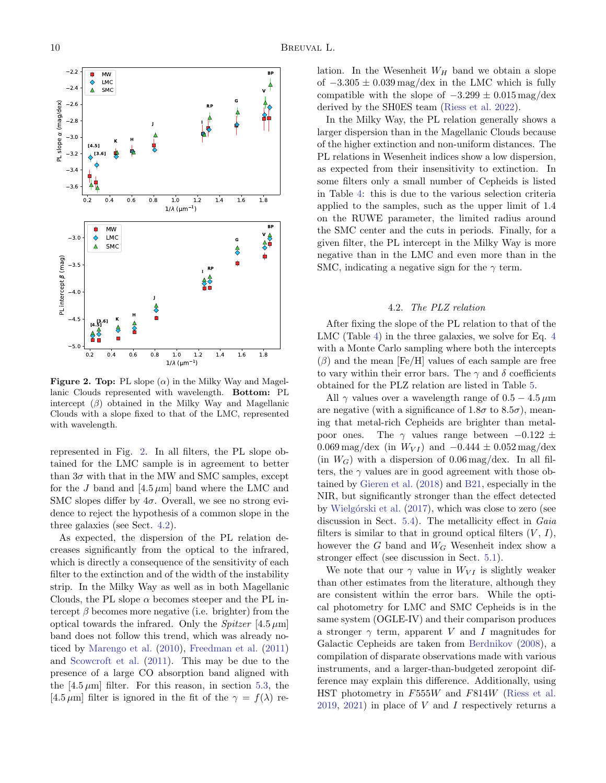

<span id="page-9-1"></span>Figure 2. Top: PL slope  $(\alpha)$  in the Milky Way and Magellanic Clouds represented with wavelength. Bottom: PL intercept  $(\beta)$  obtained in the Milky Way and Magellanic Clouds with a slope fixed to that of the LMC, represented with wavelength.

represented in Fig. [2.](#page-9-1) In all filters, the PL slope obtained for the LMC sample is in agreement to better than  $3\sigma$  with that in the MW and SMC samples, except for the J band and  $[4.5 \mu m]$  band where the LMC and SMC slopes differ by  $4\sigma$ . Overall, we see no strong evidence to reject the hypothesis of a common slope in the three galaxies (see Sect. [4.2\)](#page-9-0).

As expected, the dispersion of the PL relation decreases significantly from the optical to the infrared, which is directly a consequence of the sensitivity of each filter to the extinction and of the width of the instability strip. In the Milky Way as well as in both Magellanic Clouds, the PL slope  $\alpha$  becomes steeper and the PL intercept  $\beta$  becomes more negative (i.e. brighter) from the optical towards the infrared. Only the *Spitzer* [4.5  $\mu$ m] band does not follow this trend, which was already noticed by [Marengo et al.](#page-17-41) [\(2010\)](#page-17-41), [Freedman et al.](#page-17-21) [\(2011\)](#page-17-21) and [Scowcroft et al.](#page-17-30) [\(2011\)](#page-17-30). This may be due to the presence of a large CO absorption band aligned with the  $[4.5 \,\mu\text{m}]$  filter. For this reason, in section [5.3,](#page-10-1) the [4.5  $\mu$ m] filter is ignored in the fit of the  $\gamma = f(\lambda)$  relation. In the Wesenheit  $W_H$  band we obtain a slope of  $-3.305 \pm 0.039$  mag/dex in the LMC which is fully compatible with the slope of  $-3.299 \pm 0.015$  mag/dex derived by the SH0ES team [\(Riess et al.](#page-17-2) [2022\)](#page-17-2).

In the Milky Way, the PL relation generally shows a larger dispersion than in the Magellanic Clouds because of the higher extinction and non-uniform distances. The PL relations in Wesenheit indices show a low dispersion, as expected from their insensitivity to extinction. In some filters only a small number of Cepheids is listed in Table [4:](#page-8-0) this is due to the various selection criteria applied to the samples, such as the upper limit of 1.4 on the RUWE parameter, the limited radius around the SMC center and the cuts in periods. Finally, for a given filter, the PL intercept in the Milky Way is more negative than in the LMC and even more than in the SMC, indicating a negative sign for the  $\gamma$  term.

#### 4.2. The PLZ relation

<span id="page-9-0"></span>After fixing the slope of the PL relation to that of the LMC (Table [4\)](#page-8-0) in the three galaxies, we solve for Eq. [4](#page-7-2) with a Monte Carlo sampling where both the intercepts  $(\beta)$  and the mean [Fe/H] values of each sample are free to vary within their error bars. The  $\gamma$  and  $\delta$  coefficients obtained for the PLZ relation are listed in Table [5.](#page-10-2)

All  $\gamma$  values over a wavelength range of 0.5 – 4.5  $\mu$ m are negative (with a significance of  $1.8\sigma$  to  $8.5\sigma$ ), meaning that metal-rich Cepheids are brighter than metalpoor ones. The  $\gamma$  values range between  $-0.122 \pm$ 0.069 mag/dex (in  $W_{VI}$ ) and  $-0.444 \pm 0.052$  mag/dex  $(in W<sub>G</sub>)$  with a dispersion of 0.06 mag/dex. In all filters, the  $\gamma$  values are in good agreement with those obtained by [Gieren et al.](#page-17-10) [\(2018\)](#page-17-10) and [B21,](#page-16-6) especially in the NIR, but significantly stronger than the effect detected by Wielgórski et al. [\(2017\)](#page-18-1), which was close to zero (see discussion in Sect. [5.4\)](#page-11-0). The metallicity effect in Gaia filters is similar to that in ground optical filters  $(V, I)$ , however the  $G$  band and  $W_G$  Wesenheit index show a stronger effect (see discussion in Sect. [5.1\)](#page-10-3).

We note that our  $\gamma$  value in  $W_{VI}$  is slightly weaker than other estimates from the literature, although they are consistent within the error bars. While the optical photometry for LMC and SMC Cepheids is in the same system (OGLE-IV) and their comparison produces a stronger  $\gamma$  term, apparent V and I magnitudes for Galactic Cepheids are taken from [Berdnikov](#page-16-7) [\(2008\)](#page-16-7), a compilation of disparate observations made with various instruments, and a larger-than-budgeted zeropoint difference may explain this difference. Additionally, using HST photometry in F555W and F814W [\(Riess et al.](#page-17-23) [2019,](#page-17-23) [2021\)](#page-17-14) in place of  $V$  and  $I$  respectively returns a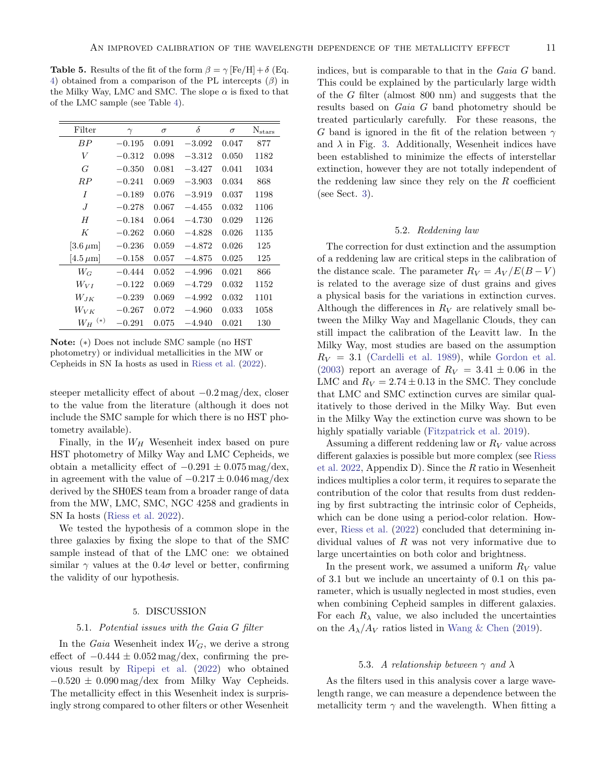<span id="page-10-2"></span>**Table 5.** Results of the fit of the form  $\beta = \gamma$  [Fe/H] +  $\delta$  (Eq. [4\)](#page-7-2) obtained from a comparison of the PL intercepts  $(\beta)$  in the Milky Way, LMC and SMC. The slope  $\alpha$  is fixed to that of the LMC sample (see Table [4\)](#page-8-0).

| Filter          | $\gamma$   | $\sigma$ | $\delta$ | $\sigma$ | $N_{stars}$ |
|-----------------|------------|----------|----------|----------|-------------|
| B P             | $-0.195$   | 0.091    | $-3.092$ | 0.047    | 877         |
| V               | $-0.312$   | 0.098    | $-3.312$ | 0.050    | 1182        |
| G               | $-0.350$   | 0.081    | $-3.427$ | 0.041    | 1034        |
| $_{RP}$         | $-0.241$   | 0.069    | $-3.903$ | 0.034    | 868         |
| I               | $-0.189$   | 0.076    | $-3.919$ | 0.037    | 1198        |
| J               | $-0.278$   | 0.067    | $-4.455$ | 0.032    | 1106        |
| H               | $-0.184$   | 0.064    | $-4.730$ | 0.029    | 1126        |
| K               | $-0.262$   | 0.060    | $-4.828$ | 0.026    | 1135        |
| $[3.6 \,\mu m]$ | $-0.236$   | 0.059    | $-4.872$ | 0.026    | 125         |
| $[4.5 \,\mu m]$ | $-0.158$   | 0.057    | $-4.875$ | 0.025    | 125         |
| $W_G$           | $-0.444$   | 0.052    | $-4.996$ | 0.021    | 866         |
| $W_{VI}$        | $-0.122\,$ | 0.069    | $-4.729$ | 0.032    | 1152        |
| $W_{JK}$        | $-0.239$   | 0.069    | $-4.992$ | 0.032    | 1101        |
| $W_{V\,K}$      | $-0.267$   | 0.072    | $-4.960$ | 0.033    | 1058        |
| $(*)$<br>$W_H$  | $-0.291$   | 0.075    | $-4.940$ | 0.021    | 130         |

Note: (∗) Does not include SMC sample (no HST photometry) or individual metallicities in the MW or Cepheids in SN Ia hosts as used in [Riess et al.](#page-17-2) [\(2022\)](#page-17-2).

steeper metallicity effect of about −0.2 mag/dex, closer to the value from the literature (although it does not include the SMC sample for which there is no HST photometry available).

Finally, in the  $W_H$  Wesenheit index based on pure HST photometry of Milky Way and LMC Cepheids, we obtain a metallicity effect of  $-0.291 \pm 0.075$  mag/dex, in agreement with the value of  $-0.217 \pm 0.046$  mag/dex derived by the SH0ES team from a broader range of data from the MW, LMC, SMC, NGC 4258 and gradients in SN Ia hosts [\(Riess et al.](#page-17-2) [2022\)](#page-17-2).

We tested the hypothesis of a common slope in the three galaxies by fixing the slope to that of the SMC sample instead of that of the LMC one: we obtained similar  $\gamma$  values at the 0.4 $\sigma$  level or better, confirming the validity of our hypothesis.

# 5. DISCUSSION

#### <span id="page-10-0"></span>5.1. Potential issues with the Gaia G filter

<span id="page-10-3"></span>In the *Gaia* Wesenheit index  $W_G$ , we derive a strong effect of  $-0.444 \pm 0.052$  mag/dex, confirming the previous result by [Ripepi et al.](#page-17-42) [\(2022\)](#page-17-42) who obtained  $-0.520 \pm 0.090$  mag/dex from Milky Way Cepheids. The metallicity effect in this Wesenheit index is surprisingly strong compared to other filters or other Wesenheit

indices, but is comparable to that in the Gaia G band. This could be explained by the particularly large width of the G filter (almost 800 nm) and suggests that the results based on Gaia G band photometry should be treated particularly carefully. For these reasons, the G band is ignored in the fit of the relation between  $\gamma$ and  $\lambda$  in Fig. [3.](#page-11-1) Additionally, Wesenheit indices have been established to minimize the effects of interstellar extinction, however they are not totally independent of the reddening law since they rely on the  $R$  coefficient (see Sect. [3\)](#page-6-0).

### 5.2. Reddening law

The correction for dust extinction and the assumption of a reddening law are critical steps in the calibration of the distance scale. The parameter  $R_V = A_V / E(B - V)$ is related to the average size of dust grains and gives a physical basis for the variations in extinction curves. Although the differences in  $R_V$  are relatively small between the Milky Way and Magellanic Clouds, they can still impact the calibration of the Leavitt law. In the Milky Way, most studies are based on the assumption  $R_V = 3.1$  [\(Cardelli et al.](#page-16-11) [1989\)](#page-16-11), while [Gordon et al.](#page-17-43) [\(2003\)](#page-17-43) report an average of  $R_V = 3.41 \pm 0.06$  in the LMC and  $R_V = 2.74 \pm 0.13$  in the SMC. They conclude that LMC and SMC extinction curves are similar qualitatively to those derived in the Milky Way. But even in the Milky Way the extinction curve was shown to be highly spatially variable [\(Fitzpatrick et al.](#page-16-12) [2019\)](#page-16-12).

Assuming a different reddening law or  $R_V$  value across different galaxies is possible but more complex (see [Riess](#page-17-2) [et al.](#page-17-2) [2022,](#page-17-2) Appendix D). Since the  $R$  ratio in Wesenheit indices multiplies a color term, it requires to separate the contribution of the color that results from dust reddening by first subtracting the intrinsic color of Cepheids, which can be done using a period-color relation. However, [Riess et al.](#page-17-2) [\(2022\)](#page-17-2) concluded that determining individual values of  $R$  was not very informative due to large uncertainties on both color and brightness.

In the present work, we assumed a uniform  $R_V$  value of 3.1 but we include an uncertainty of 0.1 on this parameter, which is usually neglected in most studies, even when combining Cepheid samples in different galaxies. For each  $R_{\lambda}$  value, we also included the uncertainties on the  $A_{\lambda}/A_V$  ratios listed in [Wang & Chen](#page-18-7) [\(2019\)](#page-18-7).

### 5.3. A relationship between  $\gamma$  and  $\lambda$

<span id="page-10-1"></span>As the filters used in this analysis cover a large wavelength range, we can measure a dependence between the metallicity term  $\gamma$  and the wavelength. When fitting a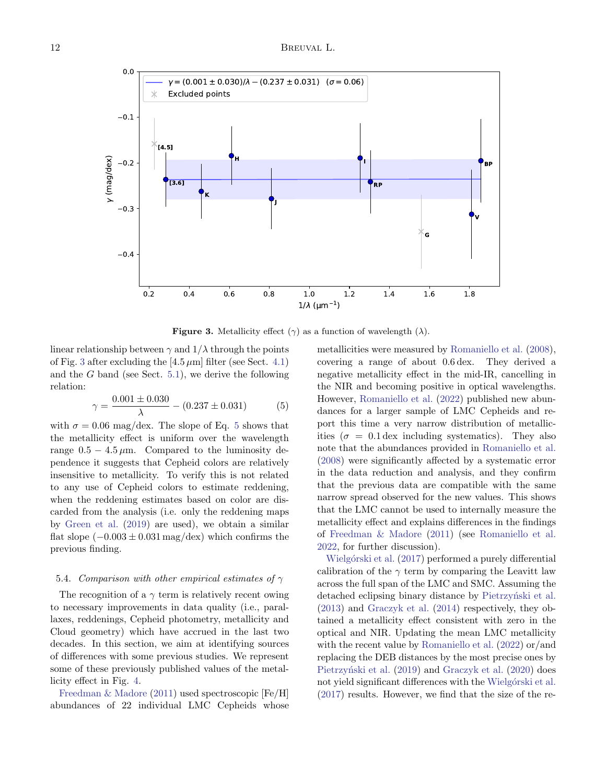

<span id="page-11-1"></span>**Figure 3.** Metallicity effect  $(\gamma)$  as a function of wavelength  $(\lambda)$ .

linear relationship between  $\gamma$  and  $1/\lambda$  through the points of Fig. [3](#page-11-1) after excluding the  $[4.5 \,\mu\text{m}]$  filter (see Sect. [4.1\)](#page-7-4) and the  $G$  band (see Sect. [5.1\)](#page-10-3), we derive the following relation:

<span id="page-11-2"></span>
$$
\gamma = \frac{0.001 \pm 0.030}{\lambda} - (0.237 \pm 0.031) \tag{5}
$$

with  $\sigma = 0.06$  mag/dex. The slope of Eq. [5](#page-11-2) shows that the metallicity effect is uniform over the wavelength range  $0.5 - 4.5 \mu m$ . Compared to the luminosity dependence it suggests that Cepheid colors are relatively insensitive to metallicity. To verify this is not related to any use of Cepheid colors to estimate reddening, when the reddening estimates based on color are discarded from the analysis (i.e. only the reddening maps by [Green et al.](#page-17-32) [\(2019\)](#page-17-32) are used), we obtain a similar flat slope  $(-0.003 \pm 0.031 \text{ mag/dex})$  which confirms the previous finding.

## <span id="page-11-0"></span>5.4. Comparison with other empirical estimates of  $\gamma$

The recognition of a  $\gamma$  term is relatively recent owing to necessary improvements in data quality (i.e., parallaxes, reddenings, Cepheid photometry, metallicity and Cloud geometry) which have accrued in the last two decades. In this section, we aim at identifying sources of differences with some previous studies. We represent some of these previously published values of the metallicity effect in Fig. [4.](#page-12-0)

[Freedman & Madore](#page-16-4) [\(2011\)](#page-16-4) used spectroscopic [Fe/H] abundances of 22 individual LMC Cepheids whose metallicities were measured by [Romaniello et al.](#page-17-15) [\(2008\)](#page-17-15), covering a range of about 0.6 dex. They derived a negative metallicity effect in the mid-IR, cancelling in the NIR and becoming positive in optical wavelengths. However, [Romaniello et al.](#page-17-16) [\(2022\)](#page-17-16) published new abundances for a larger sample of LMC Cepheids and report this time a very narrow distribution of metallicities ( $\sigma = 0.1$  dex including systematics). They also note that the abundances provided in [Romaniello et al.](#page-17-15) [\(2008\)](#page-17-15) were significantly affected by a systematic error in the data reduction and analysis, and they confirm that the previous data are compatible with the same narrow spread observed for the new values. This shows that the LMC cannot be used to internally measure the metallicity effect and explains differences in the findings of [Freedman & Madore](#page-16-4) [\(2011\)](#page-16-4) (see [Romaniello et al.](#page-17-16) [2022,](#page-17-16) for further discussion).

Wielgórski et al. [\(2017\)](#page-18-1) performed a purely differential calibration of the  $\gamma$  term by comparing the Leavitt law across the full span of the LMC and SMC. Assuming the detached eclipsing binary distance by Pietrzyński et al. [\(2013\)](#page-17-44) and [Graczyk et al.](#page-17-45) [\(2014\)](#page-17-45) respectively, they obtained a metallicity effect consistent with zero in the optical and NIR. Updating the mean LMC metallicity with the recent value by [Romaniello et al.](#page-17-16) [\(2022\)](#page-17-16) or/and replacing the DEB distances by the most precise ones by Pietrzyński et al. [\(2019\)](#page-17-4) and [Graczyk et al.](#page-17-5) [\(2020\)](#page-17-5) does not yield significant differences with the Wielgórski et al. [\(2017\)](#page-18-1) results. However, we find that the size of the re-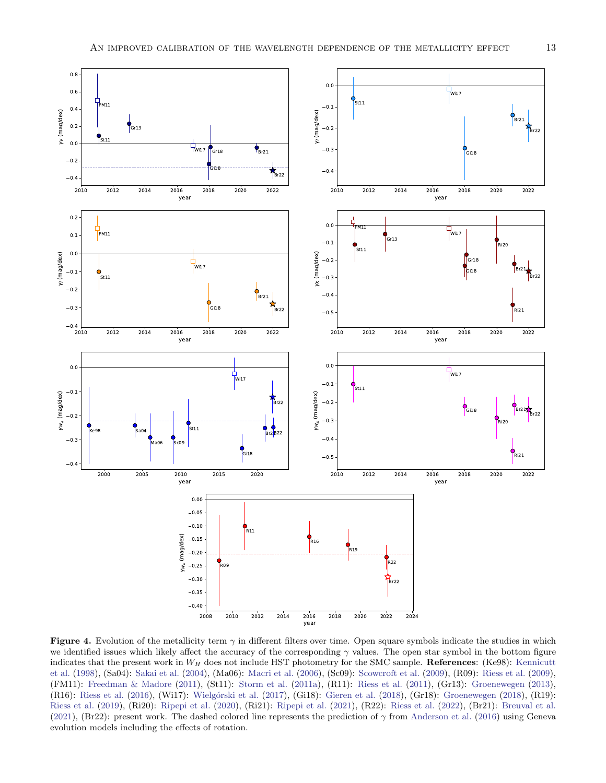

<span id="page-12-0"></span>Figure 4. Evolution of the metallicity term  $\gamma$  in different filters over time. Open square symbols indicate the studies in which we identified issues which likely affect the accuracy of the corresponding  $\gamma$  values. The open star symbol in the bottom figure indicates that the present work in  $W_H$  does not include HST photometry for the SMC sample. References: (Ke98): [Kennicutt](#page-17-17) [et al.](#page-17-17) [\(1998\)](#page-17-17), (Sa04): [Sakai et al.](#page-17-18) [\(2004\)](#page-17-18), (Ma06): [Macri et al.](#page-17-7) [\(2006\)](#page-17-7), (Sc09): [Scowcroft et al.](#page-17-8) [\(2009\)](#page-17-8), (R09): [Riess et al.](#page-17-19) [\(2009\)](#page-17-19), (FM11): [Freedman & Madore](#page-16-4) [\(2011\)](#page-16-4), (St11): [Storm et al.](#page-18-0) [\(2011a\)](#page-18-0), (R11): [Riess et al.](#page-17-20) [\(2011\)](#page-17-20), (Gr13): [Groenewegen](#page-17-9) [\(2013\)](#page-17-9), (R16): [Riess et al.](#page-17-22) [\(2016\)](#page-17-22), (Wi17): Wielgórski et al. [\(2017\)](#page-18-1), (Gi18): [Gieren et al.](#page-17-10) [\(2018\)](#page-17-11), (Gr18): [Groenewegen](#page-17-11) (2018), (R19): [Riess et al.](#page-17-23) [\(2019\)](#page-17-23), (Ri20): [Ripepi et al.](#page-17-12) [\(2020\)](#page-17-12), (Ri21): [Ripepi et al.](#page-17-13) [\(2021\)](#page-17-13), (R22): [Riess et al.](#page-17-2) [\(2022\)](#page-17-2), (Br21): [Breuval et al.](#page-16-6) [\(2021\)](#page-16-6), (Br22): present work. The dashed colored line represents the prediction of  $\gamma$  from [Anderson et al.](#page-16-5) [\(2016\)](#page-16-5) using Geneva evolution models including the effects of rotation.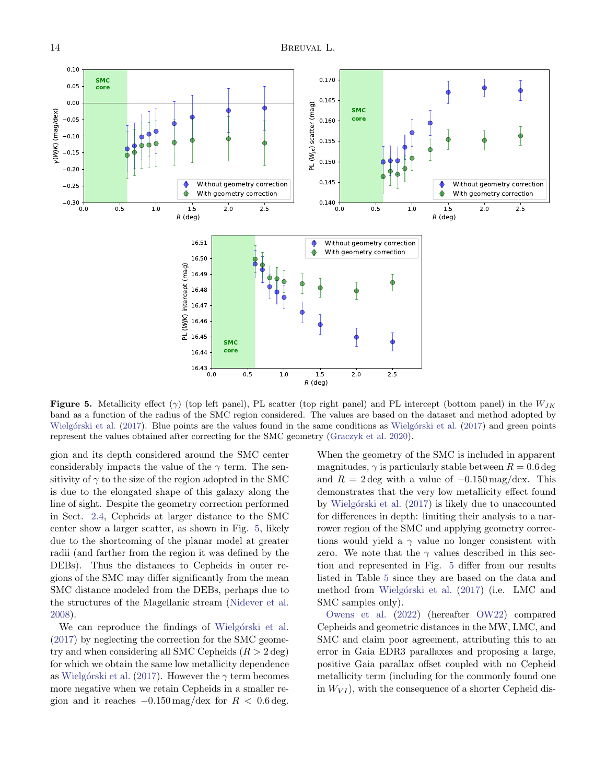

<span id="page-13-0"></span>**Figure 5.** Metallicity effect ( $\gamma$ ) (top left panel), PL scatter (top right panel) and PL intercept (bottom panel) in the  $W_{JK}$ band as a function of the radius of the SMC region considered. The values are based on the dataset and method adopted by Wielgórski et al. [\(2017\)](#page-18-1). Blue points are the values found in the same conditions as Wielgórski et al. (2017) and green points represent the values obtained after correcting for the SMC geometry [\(Graczyk et al.](#page-17-5) [2020\)](#page-17-5).

gion and its depth considered around the SMC center considerably impacts the value of the  $\gamma$  term. The sensitivity of  $\gamma$  to the size of the region adopted in the SMC is due to the elongated shape of this galaxy along the line of sight. Despite the geometry correction performed in Sect. [2.4,](#page-5-1) Cepheids at larger distance to the SMC center show a larger scatter, as shown in Fig. [5,](#page-13-0) likely due to the shortcoming of the planar model at greater radii (and farther from the region it was defined by the DEBs). Thus the distances to Cepheids in outer regions of the SMC may differ significantly from the mean SMC distance modeled from the DEBs, perhaps due to the structures of the Magellanic stream [\(Nidever et al.](#page-17-46) [2008\)](#page-17-46).

We can reproduce the findings of Wielgórski et al. [\(2017\)](#page-18-1) by neglecting the correction for the SMC geometry and when considering all SMC Cepheids  $(R > 2$  deg) for which we obtain the same low metallicity dependence as Wielgórski et al. [\(2017\)](#page-18-1). However the  $\gamma$  term becomes more negative when we retain Cepheids in a smaller region and it reaches  $-0.150 \,\text{mag}/\text{dex}$  for  $R < 0.6 \,\text{deg}$ .

When the geometry of the SMC is included in apparent magnitudes,  $\gamma$  is particularly stable between  $R = 0.6$  deg and  $R = 2 \text{ deg with a value of } -0.150 \text{ mag}/\text{dex}$ . This demonstrates that the very low metallicity effect found by Wielgórski et al. [\(2017\)](#page-18-1) is likely due to unaccounted for differences in depth: limiting their analysis to a narrower region of the SMC and applying geometry corrections would yield a  $\gamma$  value no longer consistent with zero. We note that the  $\gamma$  values described in this section and represented in Fig. [5](#page-13-0) differ from our results listed in Table [5](#page-10-2) since they are based on the data and method from Wielgórski et al. [\(2017\)](#page-18-1) (i.e. LMC and SMC samples only).

[Owens et al.](#page-17-47) [\(2022\)](#page-17-47) (hereafter [OW22\)](#page-17-47) compared Cepheids and geometric distances in the MW, LMC, and SMC and claim poor agreement, attributing this to an error in Gaia EDR3 parallaxes and proposing a large, positive Gaia parallax offset coupled with no Cepheid metallicity term (including for the commonly found one in  $W_{VI}$ , with the consequence of a shorter Cepheid dis-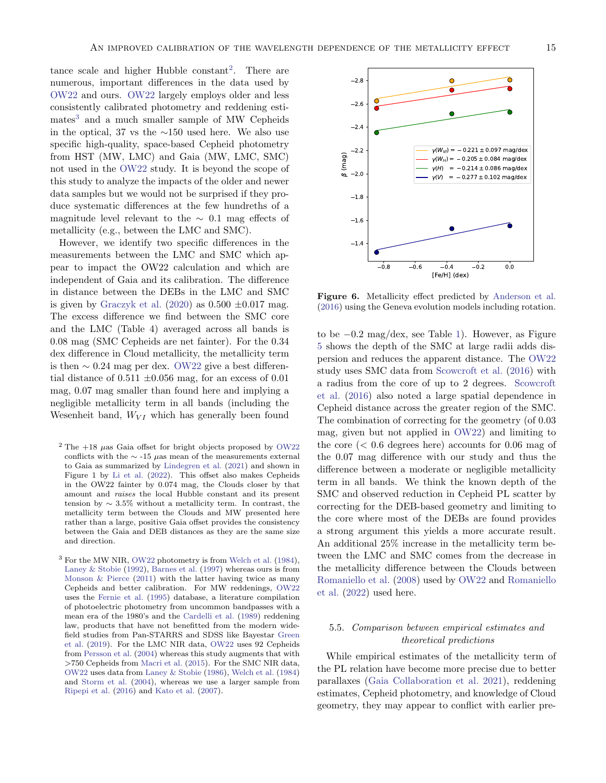tance scale and higher Hubble constant<sup>[2](#page-14-0)</sup>. There are numerous, important differences in the data used by [OW22](#page-17-47) and ours. [OW22](#page-17-47) largely employs older and less consistently calibrated photometry and reddening esti-mates<sup>[3](#page-14-1)</sup> and a much smaller sample of MW Cepheids in the optical, 37 vs the ∼150 used here. We also use specific high-quality, space-based Cepheid photometry from HST (MW, LMC) and Gaia (MW, LMC, SMC) not used in the [OW22](#page-17-47) study. It is beyond the scope of this study to analyze the impacts of the older and newer data samples but we would not be surprised if they produce systematic differences at the few hundreths of a magnitude level relevant to the  $\sim$  0.1 mag effects of metallicity (e.g., between the LMC and SMC).

However, we identify two specific differences in the measurements between the LMC and SMC which appear to impact the OW22 calculation and which are independent of Gaia and its calibration. The difference in distance between the DEBs in the LMC and SMC is given by [Graczyk et al.](#page-17-5) [\(2020\)](#page-17-5) as  $0.500 \pm 0.017$  mag. The excess difference we find between the SMC core and the LMC (Table 4) averaged across all bands is 0.08 mag (SMC Cepheids are net fainter). For the 0.34 dex difference in Cloud metallicity, the metallicity term is then  $\sim 0.24$  mag per dex. [OW22](#page-17-47) give a best differential distance of  $0.511 \pm 0.056$  mag, for an excess of  $0.01$ mag, 0.07 mag smaller than found here and implying a negligible metallicity term in all bands (including the Wesenheit band,  $W_{VI}$  which has generally been found

- <span id="page-14-0"></span><sup>2</sup> The  $+18$   $\mu$ as Gaia offset for bright objects proposed by [OW22](#page-17-47) conflicts with the  $∼$  -15  $\mu$ as mean of the measurements external to Gaia as summarized by [Lindegren et al.](#page-17-33) [\(2021\)](#page-17-33) and shown in Figure 1 by [Li et al.](#page-17-48) [\(2022\)](#page-17-48). This offset also makes Cepheids in the OW22 fainter by 0.074 mag, the Clouds closer by that amount and raises the local Hubble constant and its present tension by  $\sim 3.5\%$  without a metallicity term. In contrast, the metallicity term between the Clouds and MW presented here rather than a large, positive Gaia offset provides the consistency between the Gaia and DEB distances as they are the same size and direction.
- <span id="page-14-1"></span><sup>3</sup> For the MW NIR, [OW22](#page-17-47) photometry is from [Welch et al.](#page-18-10) [\(1984\)](#page-18-10), [Laney & Stobie](#page-17-49) [\(1992\)](#page-17-49), [Barnes et al.](#page-16-13) [\(1997\)](#page-16-13) whereas ours is from Monson  $&$  Pierce [\(2011\)](#page-17-24) with the latter having twice as many Cepheids and better calibration. For MW reddenings, [OW22](#page-17-47) uses the [Fernie et al.](#page-16-10) [\(1995\)](#page-16-10) database, a literature compilation of photoelectric photometry from uncommon bandpasses with a mean era of the 1980's and the [Cardelli et al.](#page-16-11) [\(1989\)](#page-16-11) reddening law, products that have not benefitted from the modern widefield studies from Pan-STARRS and SDSS like Bayestar [Green](#page-17-32) [et al.](#page-17-32) [\(2019\)](#page-17-32). For the LMC NIR data, [OW22](#page-17-47) uses 92 Cepheids from [Persson et al.](#page-17-26) [\(2004\)](#page-17-26) whereas this study augments that with >750 Cepheids from [Macri et al.](#page-17-25) [\(2015\)](#page-17-25). For the SMC NIR data, [OW22](#page-17-47) uses data from [Laney & Stobie](#page-17-50) [\(1986\)](#page-17-50), [Welch et al.](#page-18-10) [\(1984\)](#page-18-10) and [Storm et al.](#page-18-11) [\(2004\)](#page-18-11), whereas we use a larger sample from [Ripepi et al.](#page-17-27) [\(2016\)](#page-17-27) and [Kato et al.](#page-17-28) [\(2007\)](#page-17-28).



<span id="page-14-2"></span>Figure 6. Metallicity effect predicted by [Anderson et al.](#page-16-5) [\(2016\)](#page-16-5) using the Geneva evolution models including rotation.

to be −0.2 mag/dex, see Table [1\)](#page-1-0). However, as Figure [5](#page-13-0) shows the depth of the SMC at large radii adds dispersion and reduces the apparent distance. The [OW22](#page-17-47) study uses SMC data from [Scowcroft et al.](#page-17-31) [\(2016\)](#page-17-31) with a radius from the core of up to 2 degrees. [Scowcroft](#page-17-31) [et al.](#page-17-31) [\(2016\)](#page-17-31) also noted a large spatial dependence in Cepheid distance across the greater region of the SMC. The combination of correcting for the geometry (of 0.03 mag, given but not applied in [OW22\)](#page-17-47) and limiting to the core  $( $0.6$  degrees here) accounts for  $0.06$  mag of$ the 0.07 mag difference with our study and thus the difference between a moderate or negligible metallicity term in all bands. We think the known depth of the SMC and observed reduction in Cepheid PL scatter by correcting for the DEB-based geometry and limiting to the core where most of the DEBs are found provides a strong argument this yields a more accurate result. An additional 25% increase in the metallicity term between the LMC and SMC comes from the decrease in the metallicity difference between the Clouds between [Romaniello et al.](#page-17-15) [\(2008\)](#page-17-15) used by [OW22](#page-17-47) and [Romaniello](#page-17-16) [et al.](#page-17-16) [\(2022\)](#page-17-16) used here.

# 5.5. Comparison between empirical estimates and theoretical predictions

While empirical estimates of the metallicity term of the PL relation have become more precise due to better parallaxes [\(Gaia Collaboration et al.](#page-17-37) [2021\)](#page-17-37), reddening estimates, Cepheid photometry, and knowledge of Cloud geometry, they may appear to conflict with earlier pre-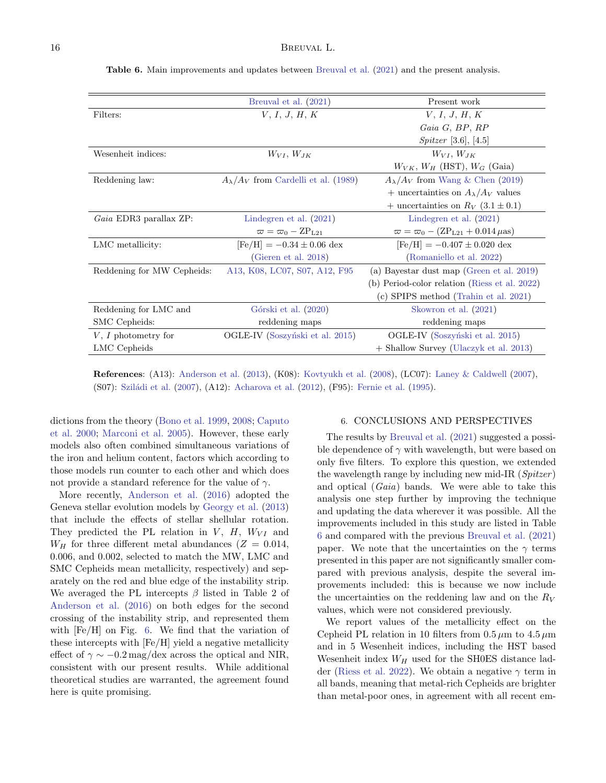|                            | Breuval et al. (2021)                         | Present work                                            |
|----------------------------|-----------------------------------------------|---------------------------------------------------------|
| Filters:                   | V, I, J, H, K                                 | V, I, J, H, K                                           |
|                            |                                               | $Gaia\ G, BP, RP$                                       |
|                            |                                               | <i>Spitzer</i> [3.6], [4.5]                             |
| Wesenheit indices:         | $W_{VI}$ , $W_{JK}$                           | $W_{VI}$ , $W_{JK}$                                     |
|                            |                                               | $W_{VK}, W_H$ (HST), $W_G$ (Gaia)                       |
| Reddening law:             | $A_{\lambda}/A_V$ from Cardelli et al. (1989) | $A_{\lambda}/A_V$ from Wang & Chen (2019)               |
|                            |                                               | + uncertainties on $A_{\lambda}/A_V$ values             |
|                            |                                               | + uncertainties on $R_V$ (3.1 ± 0.1)                    |
| Gaia EDR3 parallax ZP:     | Lindegren et al. $(2021)$                     | Lindegren et al. $(2021)$                               |
|                            | $\varpi = \varpi_0 - \mathrm{ZP}_{L21}$       | $\varpi = \varpi_0 - (ZP_{L21} + 0.014 \,\mu\text{as})$ |
| LMC metallicity:           | $[Fe/H] = -0.34 \pm 0.06$ dex                 | $[Fe/H] = -0.407 \pm 0.020 \text{ dex}$                 |
|                            | (Gieren et al. 2018)                          | (Romaniello et al. 2022)                                |
| Reddening for MW Cepheids: | A13, K08, LC07, S07, A12, F95                 | (a) Bayestar dust map (Green et al. 2019)               |
|                            |                                               | (b) Period-color relation (Riess et al. 2022)           |
|                            |                                               | (c) SPIPS method (Trahin et al. 2021)                   |
| Reddening for LMC and      | Górski et al. (2020)                          | Skowron et al. (2021)                                   |
| SMC Cepheids:              | reddening maps                                | reddening maps                                          |
| $V, I$ photometry for      | OGLE-IV (Soszyński et al. 2015)               | OGLE-IV (Soszyński et al. 2015)                         |
| LMC Cepheids               |                                               | + Shallow Survey (Ulaczyk et al. 2013)                  |

<span id="page-15-1"></span>Table 6. Main improvements and updates between [Breuval et al.](#page-16-6) [\(2021\)](#page-16-6) and the present analysis.

References: (A13): [Anderson et al.](#page-16-14) [\(2013\)](#page-16-14), (K08): [Kovtyukh et al.](#page-17-51) [\(2008\)](#page-17-51), (LC07): [Laney & Caldwell](#page-17-52) [\(2007\)](#page-17-52), (S07): Sziládi et al. [\(2007\)](#page-18-12), (A12): [Acharova et al.](#page-16-15) [\(2012\)](#page-16-15), (F95): [Fernie et al.](#page-16-10) [\(1995\)](#page-16-10).

dictions from the theory [\(Bono et al.](#page-16-1) [1999,](#page-16-1) [2008;](#page-16-2) [Caputo](#page-16-3) [et al.](#page-16-3) [2000;](#page-16-3) [Marconi et al.](#page-17-6) [2005\)](#page-17-6). However, these early models also often combined simultaneous variations of the iron and helium content, factors which according to those models run counter to each other and which does not provide a standard reference for the value of  $\gamma$ .

More recently, [Anderson et al.](#page-16-5) [\(2016\)](#page-16-5) adopted the Geneva stellar evolution models by [Georgy et al.](#page-17-54) [\(2013\)](#page-17-54) that include the effects of stellar shellular rotation. They predicted the PL relation in  $V$ ,  $H$ ,  $W_{VI}$  and  $W_H$  for three different metal abundances ( $Z = 0.014$ , 0.006, and 0.002, selected to match the MW, LMC and SMC Cepheids mean metallicity, respectively) and separately on the red and blue edge of the instability strip. We averaged the PL intercepts  $\beta$  listed in Table 2 of [Anderson et al.](#page-16-5) [\(2016\)](#page-16-5) on both edges for the second crossing of the instability strip, and represented them with [Fe/H] on Fig. [6.](#page-14-2) We find that the variation of these intercepts with [Fe/H] yield a negative metallicity effect of  $\gamma \sim -0.2$  mag/dex across the optical and NIR, consistent with our present results. While additional theoretical studies are warranted, the agreement found here is quite promising.

### 6. CONCLUSIONS AND PERSPECTIVES

<span id="page-15-0"></span>The results by [Breuval et al.](#page-16-6) [\(2021\)](#page-16-6) suggested a possible dependence of  $\gamma$  with wavelength, but were based on only five filters. To explore this question, we extended the wavelength range by including new mid-IR  $(Spitzer)$ and optical  $(Gaia)$  bands. We were able to take this analysis one step further by improving the technique and updating the data wherever it was possible. All the improvements included in this study are listed in Table [6](#page-15-1) and compared with the previous [Breuval et al.](#page-16-6) [\(2021\)](#page-16-6) paper. We note that the uncertainties on the  $\gamma$  terms presented in this paper are not significantly smaller compared with previous analysis, despite the several improvements included: this is because we now include the uncertainties on the reddening law and on the  $R_V$ values, which were not considered previously.

We report values of the metallicity effect on the Cepheid PL relation in 10 filters from  $0.5 \mu m$  to  $4.5 \mu m$ and in 5 Wesenheit indices, including the HST based Wesenheit index  $W_H$  used for the SH0ES distance lad-der [\(Riess et al.](#page-17-2) [2022\)](#page-17-2). We obtain a negative  $\gamma$  term in all bands, meaning that metal-rich Cepheids are brighter than metal-poor ones, in agreement with all recent em-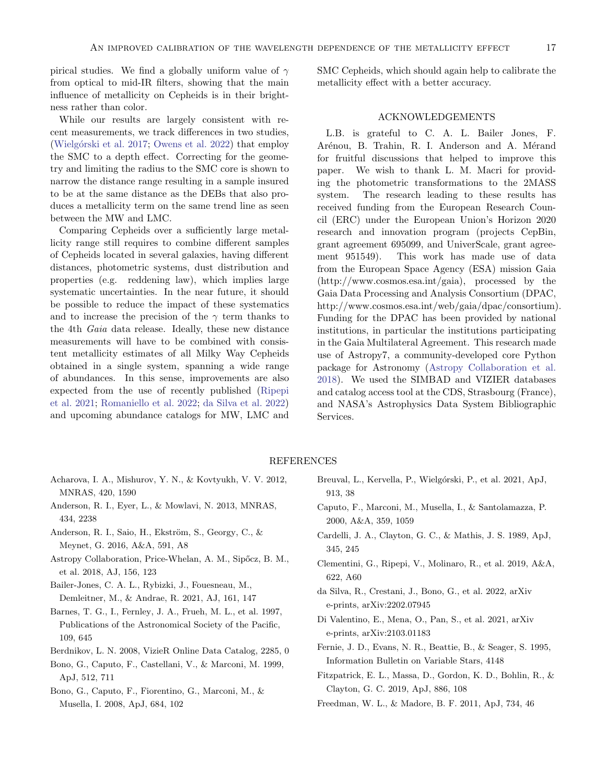pirical studies. We find a globally uniform value of  $\gamma$ from optical to mid-IR filters, showing that the main influence of metallicity on Cepheids is in their brightness rather than color.

While our results are largely consistent with recent measurements, we track differences in two studies, (Wielgórski et al. [2017;](#page-18-1) [Owens et al.](#page-17-47) [2022\)](#page-17-47) that employ the SMC to a depth effect. Correcting for the geometry and limiting the radius to the SMC core is shown to narrow the distance range resulting in a sample insured to be at the same distance as the DEBs that also produces a metallicity term on the same trend line as seen between the MW and LMC.

Comparing Cepheids over a sufficiently large metallicity range still requires to combine different samples of Cepheids located in several galaxies, having different distances, photometric systems, dust distribution and properties (e.g. reddening law), which implies large systematic uncertainties. In the near future, it should be possible to reduce the impact of these systematics and to increase the precision of the  $\gamma$  term thanks to the 4th Gaia data release. Ideally, these new distance measurements will have to be combined with consistent metallicity estimates of all Milky Way Cepheids obtained in a single system, spanning a wide range of abundances. In this sense, improvements are also expected from the use of recently published [\(Ripepi](#page-17-13) [et al.](#page-17-13) [2021;](#page-17-13) [Romaniello et al.](#page-17-16) [2022;](#page-17-16) [da Silva et al.](#page-16-16) [2022\)](#page-16-16) and upcoming abundance catalogs for MW, LMC and

SMC Cepheids, which should again help to calibrate the metallicity effect with a better accuracy.

# ACKNOWLEDGEMENTS

L.B. is grateful to C. A. L. Bailer Jones, F. Arénou, B. Trahin, R. I. Anderson and A. Mérand for fruitful discussions that helped to improve this paper. We wish to thank L. M. Macri for providing the photometric transformations to the 2MASS system. The research leading to these results has received funding from the European Research Council (ERC) under the European Union's Horizon 2020 research and innovation program (projects CepBin, grant agreement 695099, and UniverScale, grant agreement 951549). This work has made use of data from the European Space Agency (ESA) mission Gaia (http://www.cosmos.esa.int/gaia), processed by the Gaia Data Processing and Analysis Consortium (DPAC, http://www.cosmos.esa.int/web/gaia/dpac/consortium). Funding for the DPAC has been provided by national institutions, in particular the institutions participating in the Gaia Multilateral Agreement. This research made use of Astropy7, a community-developed core Python package for Astronomy [\(Astropy Collaboration et al.](#page-16-17) [2018\)](#page-16-17). We used the SIMBAD and VIZIER databases and catalog access tool at the CDS, Strasbourg (France), and NASA's Astrophysics Data System Bibliographic Services.

## REFERENCES

- <span id="page-16-15"></span>Acharova, I. A., Mishurov, Y. N., & Kovtyukh, V. V. 2012, MNRAS, 420, 1590
- <span id="page-16-14"></span>Anderson, R. I., Eyer, L., & Mowlavi, N. 2013, MNRAS, 434, 2238
- <span id="page-16-5"></span>Anderson, R. I., Saio, H., Ekström, S., Georgy, C., & Meynet, G. 2016, A&A, 591, A8
- <span id="page-16-17"></span>Astropy Collaboration, Price-Whelan, A. M., Sipőcz, B. M., et al. 2018, AJ, 156, 123
- <span id="page-16-9"></span>Bailer-Jones, C. A. L., Rybizki, J., Fouesneau, M., Demleitner, M., & Andrae, R. 2021, AJ, 161, 147
- <span id="page-16-13"></span>Barnes, T. G., I., Fernley, J. A., Frueh, M. L., et al. 1997, Publications of the Astronomical Society of the Pacific, 109, 645
- <span id="page-16-7"></span>Berdnikov, L. N. 2008, VizieR Online Data Catalog, 2285, 0
- <span id="page-16-1"></span>Bono, G., Caputo, F., Castellani, V., & Marconi, M. 1999, ApJ, 512, 711
- <span id="page-16-2"></span>Bono, G., Caputo, F., Fiorentino, G., Marconi, M., & Musella, I. 2008, ApJ, 684, 102
- <span id="page-16-6"></span>Breuval, L., Kervella, P., Wielgórski, P., et al. 2021, ApJ, 913, 38
- <span id="page-16-3"></span>Caputo, F., Marconi, M., Musella, I., & Santolamazza, P. 2000, A&A, 359, 1059
- <span id="page-16-11"></span>Cardelli, J. A., Clayton, G. C., & Mathis, J. S. 1989, ApJ, 345, 245
- <span id="page-16-8"></span>Clementini, G., Ripepi, V., Molinaro, R., et al. 2019, A&A, 622, A60
- <span id="page-16-16"></span>da Silva, R., Crestani, J., Bono, G., et al. 2022, arXiv e-prints, arXiv:2202.07945
- <span id="page-16-0"></span>Di Valentino, E., Mena, O., Pan, S., et al. 2021, arXiv e-prints, arXiv:2103.01183
- <span id="page-16-10"></span>Fernie, J. D., Evans, N. R., Beattie, B., & Seager, S. 1995, Information Bulletin on Variable Stars, 4148
- <span id="page-16-12"></span>Fitzpatrick, E. L., Massa, D., Gordon, K. D., Bohlin, R., & Clayton, G. C. 2019, ApJ, 886, 108
- <span id="page-16-4"></span>Freedman, W. L., & Madore, B. F. 2011, ApJ, 734, 46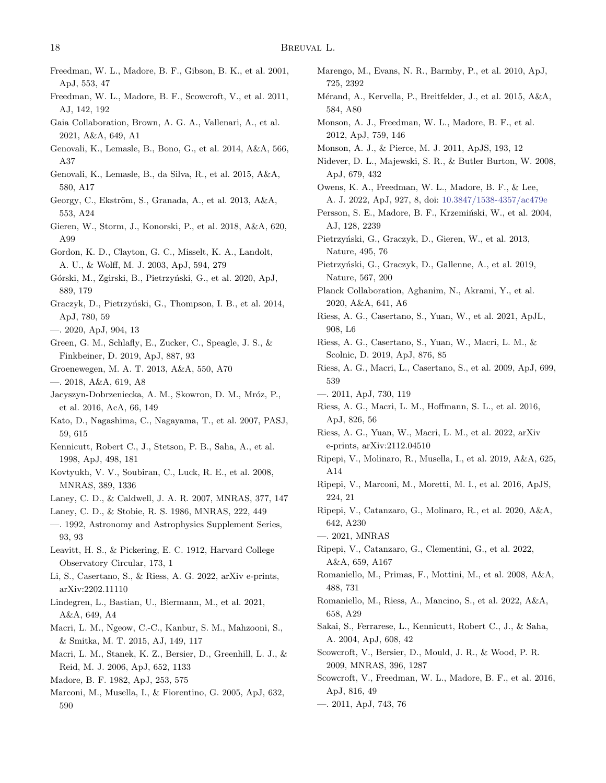- <span id="page-17-1"></span>Freedman, W. L., Madore, B. F., Gibson, B. K., et al. 2001, ApJ, 553, 47
- <span id="page-17-21"></span>Freedman, W. L., Madore, B. F., Scowcroft, V., et al. 2011, AJ, 142, 192
- <span id="page-17-37"></span>Gaia Collaboration, Brown, A. G. A., Vallenari, A., et al. 2021, A&A, 649, A1
- <span id="page-17-34"></span>Genovali, K., Lemasle, B., Bono, G., et al. 2014, A&A, 566, A37
- <span id="page-17-35"></span>Genovali, K., Lemasle, B., da Silva, R., et al. 2015, A&A, 580, A17
- <span id="page-17-54"></span>Georgy, C., Ekström, S., Granada, A., et al. 2013, A&A, 553, A24
- <span id="page-17-10"></span>Gieren, W., Storm, J., Konorski, P., et al. 2018, A&A, 620, A99
- <span id="page-17-43"></span>Gordon, K. D., Clayton, G. C., Misselt, K. A., Landolt, A. U., & Wolff, M. J. 2003, ApJ, 594, 279
- <span id="page-17-53"></span>Górski, M., Zgirski, B., Pietrzyński, G., et al. 2020, ApJ, 889, 179
- <span id="page-17-45"></span>Graczyk, D., Pietrzyński, G., Thompson, I. B., et al. 2014, ApJ, 780, 59
- <span id="page-17-23"></span><span id="page-17-5"></span>—. 2020, ApJ, 904, 13
- <span id="page-17-32"></span>Green, G. M., Schlafly, E., Zucker, C., Speagle, J. S., & Finkbeiner, D. 2019, ApJ, 887, 93
- <span id="page-17-19"></span><span id="page-17-9"></span>Groenewegen, M. A. T. 2013, A&A, 550, A70
- <span id="page-17-22"></span><span id="page-17-20"></span><span id="page-17-11"></span>—. 2018, A&A, 619, A8
- <span id="page-17-38"></span>Jacyszyn-Dobrzeniecka, A. M., Skowron, D. M., Mróz, P., et al. 2016, AcA, 66, 149
- <span id="page-17-28"></span><span id="page-17-2"></span>Kato, D., Nagashima, C., Nagayama, T., et al. 2007, PASJ, 59, 615
- <span id="page-17-17"></span>Kennicutt, Robert C., J., Stetson, P. B., Saha, A., et al. 1998, ApJ, 498, 181
- <span id="page-17-51"></span>Kovtyukh, V. V., Soubiran, C., Luck, R. E., et al. 2008, MNRAS, 389, 1336
- <span id="page-17-52"></span>Laney, C. D., & Caldwell, J. A. R. 2007, MNRAS, 377, 147
- <span id="page-17-50"></span><span id="page-17-49"></span>Laney, C. D., & Stobie, R. S. 1986, MNRAS, 222, 449
- —. 1992, Astronomy and Astrophysics Supplement Series, 93, 93
- <span id="page-17-0"></span>Leavitt, H. S., & Pickering, E. C. 1912, Harvard College Observatory Circular, 173, 1
- <span id="page-17-48"></span>Li, S., Casertano, S., & Riess, A. G. 2022, arXiv e-prints, arXiv:2202.11110
- <span id="page-17-33"></span>Lindegren, L., Bastian, U., Biermann, M., et al. 2021, A&A, 649, A4
- <span id="page-17-25"></span>Macri, L. M., Ngeow, C.-C., Kanbur, S. M., Mahzooni, S., & Smitka, M. T. 2015, AJ, 149, 117
- <span id="page-17-7"></span>Macri, L. M., Stanek, K. Z., Bersier, D., Greenhill, L. J., & Reid, M. J. 2006, ApJ, 652, 1133
- <span id="page-17-40"></span>Madore, B. F. 1982, ApJ, 253, 575
- <span id="page-17-6"></span>Marconi, M., Musella, I., & Fiorentino, G. 2005, ApJ, 632, 590
- <span id="page-17-47"></span><span id="page-17-46"></span><span id="page-17-44"></span><span id="page-17-41"></span><span id="page-17-36"></span><span id="page-17-29"></span><span id="page-17-26"></span><span id="page-17-24"></span><span id="page-17-14"></span><span id="page-17-4"></span><span id="page-17-3"></span>Marengo, M., Evans, N. R., Barmby, P., et al. 2010, ApJ, 725, 2392 Mérand, A., Kervella, P., Breitfelder, J., et al. 2015, A&A, 584, A80 Monson, A. J., Freedman, W. L., Madore, B. F., et al. 2012, ApJ, 759, 146 Monson, A. J., & Pierce, M. J. 2011, ApJS, 193, 12 Nidever, D. L., Majewski, S. R., & Butler Burton, W. 2008, ApJ, 679, 432 Owens, K. A., Freedman, W. L., Madore, B. F., & Lee, A. J. 2022, ApJ, 927, 8, doi: [10.3847/1538-4357/ac479e](http://doi.org/10.3847/1538-4357/ac479e) Persson, S. E., Madore, B. F., Krzemiński, W., et al. 2004, AJ, 128, 2239 Pietrzyński, G., Graczyk, D., Gieren, W., et al. 2013, Nature, 495, 76 Pietrzyński, G., Graczyk, D., Gallenne, A., et al. 2019, Nature, 567, 200 Planck Collaboration, Aghanim, N., Akrami, Y., et al. 2020, A&A, 641, A6 Riess, A. G., Casertano, S., Yuan, W., et al. 2021, ApJL, 908, L6 Riess, A. G., Casertano, S., Yuan, W., Macri, L. M., & Scolnic, D. 2019, ApJ, 876, 85 Riess, A. G., Macri, L., Casertano, S., et al. 2009, ApJ, 699, 539 —. 2011, ApJ, 730, 119 Riess, A. G., Macri, L. M., Hoffmann, S. L., et al. 2016, ApJ, 826, 56 Riess, A. G., Yuan, W., Macri, L. M., et al. 2022, arXiv e-prints, arXiv:2112.04510 Ripepi, V., Molinaro, R., Musella, I., et al. 2019, A&A, 625, A14 Ripepi, V., Marconi, M., Moretti, M. I., et al. 2016, ApJS, 224, 21 Ripepi, V., Catanzaro, G., Molinaro, R., et al. 2020, A&A, 642, A230 —. 2021, MNRAS Ripepi, V., Catanzaro, G., Clementini, G., et al. 2022, A&A, 659, A167 Romaniello, M., Primas, F., Mottini, M., et al. 2008, A&A, 488, 731 Romaniello, M., Riess, A., Mancino, S., et al. 2022, A&A, 658, A29 Sakai, S., Ferrarese, L., Kennicutt, Robert C., J., & Saha, A. 2004, ApJ, 608, 42 Scowcroft, V., Bersier, D., Mould, J. R., & Wood, P. R. 2009, MNRAS, 396, 1287 Scowcroft, V., Freedman, W. L., Madore, B. F., et al. 2016, ApJ, 816, 49
- <span id="page-17-42"></span><span id="page-17-39"></span><span id="page-17-31"></span><span id="page-17-30"></span><span id="page-17-27"></span><span id="page-17-18"></span><span id="page-17-16"></span><span id="page-17-15"></span><span id="page-17-13"></span><span id="page-17-12"></span><span id="page-17-8"></span>—. 2011, ApJ, 743, 76